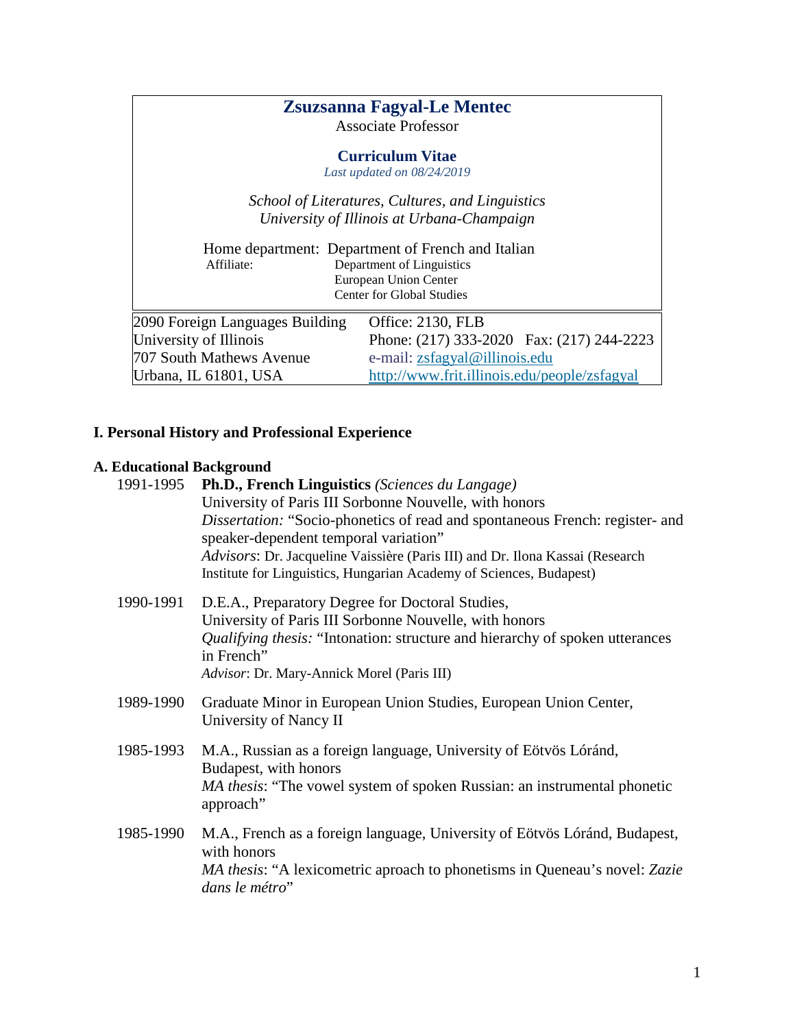|                                 | <b>Zsuzsanna Fagyal-Le Mentec</b><br><b>Associate Professor</b>                                                                      |
|---------------------------------|--------------------------------------------------------------------------------------------------------------------------------------|
|                                 | <b>Curriculum Vitae</b><br>Last updated on 08/24/2019                                                                                |
|                                 | School of Literatures, Cultures, and Linguistics<br>University of Illinois at Urbana-Champaign                                       |
| Affiliate:                      | Home department: Department of French and Italian<br>Department of Linguistics<br>European Union Center<br>Center for Global Studies |
| 2090 Foreign Languages Building | Office: 2130, FLB                                                                                                                    |
| University of Illinois          | Phone: (217) 333-2020 Fax: (217) 244-2223                                                                                            |
| 707 South Mathews Avenue        | e-mail: zsfagyal@illinois.edu                                                                                                        |
| Urbana, IL 61801, USA           | http://www.frit.illinois.edu/people/zsfagyal                                                                                         |

# **I. Personal History and Professional Experience**

# **A. Educational Background**

| 1991-1995 | Ph.D., French Linguistics (Sciences du Langage)<br>University of Paris III Sorbonne Nouvelle, with honors<br>Dissertation: "Socio-phonetics of read and spontaneous French: register- and<br>speaker-dependent temporal variation"<br>Advisors: Dr. Jacqueline Vaissière (Paris III) and Dr. Ilona Kassai (Research<br>Institute for Linguistics, Hungarian Academy of Sciences, Budapest) |
|-----------|--------------------------------------------------------------------------------------------------------------------------------------------------------------------------------------------------------------------------------------------------------------------------------------------------------------------------------------------------------------------------------------------|
| 1990-1991 | D.E.A., Preparatory Degree for Doctoral Studies,<br>University of Paris III Sorbonne Nouvelle, with honors<br>Qualifying thesis: "Intonation: structure and hierarchy of spoken utterances<br>in French"<br>Advisor: Dr. Mary-Annick Morel (Paris III)                                                                                                                                     |
| 1989-1990 | Graduate Minor in European Union Studies, European Union Center,<br>University of Nancy II                                                                                                                                                                                                                                                                                                 |
| 1985-1993 | M.A., Russian as a foreign language, University of Eötvös Lóránd,<br>Budapest, with honors<br>MA thesis: "The vowel system of spoken Russian: an instrumental phonetic<br>approach"                                                                                                                                                                                                        |
| 1985-1990 | M.A., French as a foreign language, University of Eötvös Lóránd, Budapest,<br>with honors<br>MA thesis: "A lexicometric aproach to phonetisms in Queneau's novel: Zazie<br>dans le métro"                                                                                                                                                                                                  |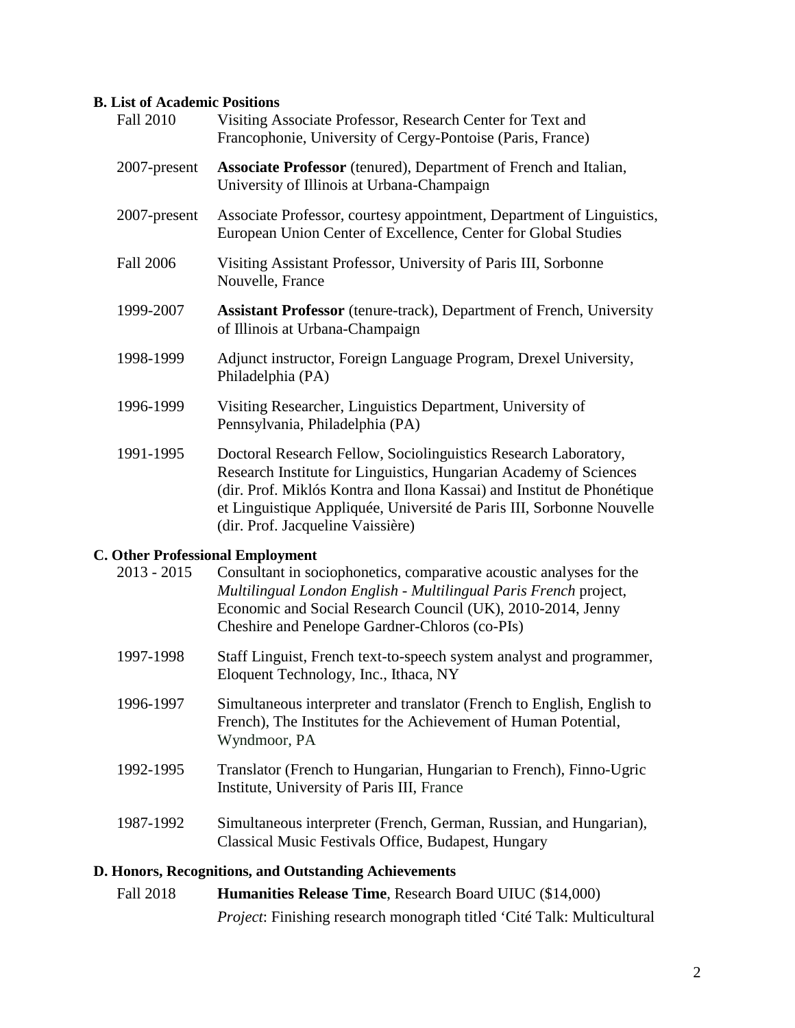#### **B. List of Academic Positions**

| <b>Fall 2010</b> | Visiting Associate Professor, Research Center for Text and<br>Francophonie, University of Cergy-Pontoise (Paris, France)                                                                                                                                                                                                     |
|------------------|------------------------------------------------------------------------------------------------------------------------------------------------------------------------------------------------------------------------------------------------------------------------------------------------------------------------------|
| 2007-present     | <b>Associate Professor</b> (tenured), Department of French and Italian,<br>University of Illinois at Urbana-Champaign                                                                                                                                                                                                        |
| 2007-present     | Associate Professor, courtesy appointment, Department of Linguistics,<br>European Union Center of Excellence, Center for Global Studies                                                                                                                                                                                      |
| <b>Fall 2006</b> | Visiting Assistant Professor, University of Paris III, Sorbonne<br>Nouvelle, France                                                                                                                                                                                                                                          |
| 1999-2007        | <b>Assistant Professor</b> (tenure-track), Department of French, University<br>of Illinois at Urbana-Champaign                                                                                                                                                                                                               |
| 1998-1999        | Adjunct instructor, Foreign Language Program, Drexel University,<br>Philadelphia (PA)                                                                                                                                                                                                                                        |
| 1996-1999        | Visiting Researcher, Linguistics Department, University of<br>Pennsylvania, Philadelphia (PA)                                                                                                                                                                                                                                |
| 1991-1995        | Doctoral Research Fellow, Sociolinguistics Research Laboratory,<br>Research Institute for Linguistics, Hungarian Academy of Sciences<br>(dir. Prof. Miklós Kontra and Ilona Kassai) and Institut de Phonétique<br>et Linguistique Appliquée, Université de Paris III, Sorbonne Nouvelle<br>(dir. Prof. Jacqueline Vaissière) |
|                  | <b>C. Other Professional Employment</b>                                                                                                                                                                                                                                                                                      |
| $2013 - 2015$    | Consultant in sociophonetics, comparative acoustic analyses for the<br>Multilingual London English - Multilingual Paris Erench project                                                                                                                                                                                       |

- *Multilingual London English - Multilingual Paris French* project, Economic and Social Research Council (UK), 2010-2014, Jenny Cheshire and Penelope Gardner-Chloros (co-PIs)
- 1997-1998 Staff Linguist, French text-to-speech system analyst and programmer, Eloquent Technology, Inc., Ithaca, NY
- 1996-1997 Simultaneous interpreter and translator (French to English, English to French), The Institutes for the Achievement of Human Potential, Wyndmoor, PA
- 1992-1995 Translator (French to Hungarian, Hungarian to French), Finno-Ugric Institute, University of Paris III, France
- 1987-1992 Simultaneous interpreter (French, German, Russian, and Hungarian), Classical Music Festivals Office, Budapest, Hungary

### **D. Honors, Recognitions, and Outstanding Achievements**

| Fall 2018 | <b>Humanities Release Time, Research Board UIUC (\$14,000)</b>                |
|-----------|-------------------------------------------------------------------------------|
|           | <i>Project:</i> Finishing research monograph titled 'Cité Talk: Multicultural |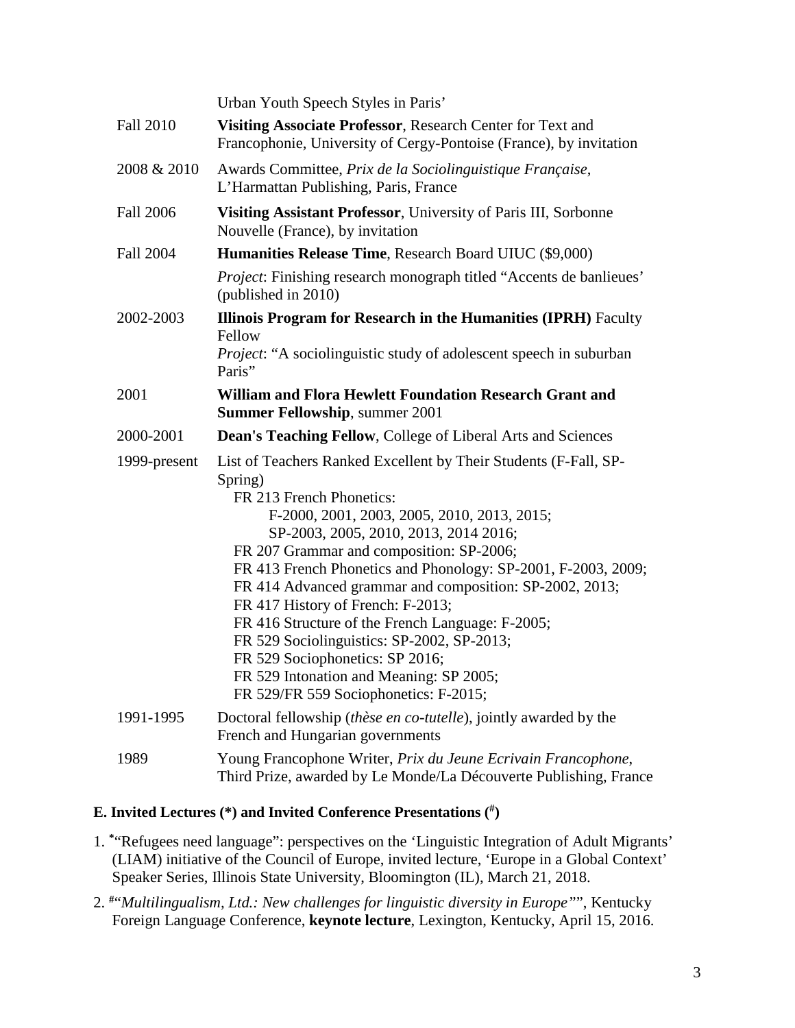|                  | Urban Youth Speech Styles in Paris'                                                                                                                                                                                                                                                                                                                                                                                                                                                                                                                                                                                                   |
|------------------|---------------------------------------------------------------------------------------------------------------------------------------------------------------------------------------------------------------------------------------------------------------------------------------------------------------------------------------------------------------------------------------------------------------------------------------------------------------------------------------------------------------------------------------------------------------------------------------------------------------------------------------|
| <b>Fall 2010</b> | Visiting Associate Professor, Research Center for Text and<br>Francophonie, University of Cergy-Pontoise (France), by invitation                                                                                                                                                                                                                                                                                                                                                                                                                                                                                                      |
| 2008 & 2010      | Awards Committee, Prix de la Sociolinguistique Française,<br>L'Harmattan Publishing, Paris, France                                                                                                                                                                                                                                                                                                                                                                                                                                                                                                                                    |
| <b>Fall 2006</b> | Visiting Assistant Professor, University of Paris III, Sorbonne<br>Nouvelle (France), by invitation                                                                                                                                                                                                                                                                                                                                                                                                                                                                                                                                   |
| <b>Fall 2004</b> | Humanities Release Time, Research Board UIUC (\$9,000)                                                                                                                                                                                                                                                                                                                                                                                                                                                                                                                                                                                |
|                  | <i>Project</i> : Finishing research monograph titled "Accents de banlieues"<br>(published in 2010)                                                                                                                                                                                                                                                                                                                                                                                                                                                                                                                                    |
| 2002-2003        | <b>Illinois Program for Research in the Humanities (IPRH)</b> Faculty<br>Fellow                                                                                                                                                                                                                                                                                                                                                                                                                                                                                                                                                       |
|                  | Project: "A sociolinguistic study of adolescent speech in suburban<br>Paris"                                                                                                                                                                                                                                                                                                                                                                                                                                                                                                                                                          |
| 2001             | William and Flora Hewlett Foundation Research Grant and<br><b>Summer Fellowship, summer 2001</b>                                                                                                                                                                                                                                                                                                                                                                                                                                                                                                                                      |
| 2000-2001        | <b>Dean's Teaching Fellow, College of Liberal Arts and Sciences</b>                                                                                                                                                                                                                                                                                                                                                                                                                                                                                                                                                                   |
| 1999-present     | List of Teachers Ranked Excellent by Their Students (F-Fall, SP-<br>Spring)<br>FR 213 French Phonetics:<br>F-2000, 2001, 2003, 2005, 2010, 2013, 2015;<br>SP-2003, 2005, 2010, 2013, 2014 2016;<br>FR 207 Grammar and composition: SP-2006;<br>FR 413 French Phonetics and Phonology: SP-2001, F-2003, 2009;<br>FR 414 Advanced grammar and composition: SP-2002, 2013;<br>FR 417 History of French: F-2013;<br>FR 416 Structure of the French Language: F-2005;<br>FR 529 Sociolinguistics: SP-2002, SP-2013;<br>FR 529 Sociophonetics: SP 2016;<br>FR 529 Intonation and Meaning: SP 2005;<br>FR 529/FR 559 Sociophonetics: F-2015; |
| 1991-1995        | Doctoral fellowship ( <i>thèse en co-tutelle</i> ), jointly awarded by the<br>French and Hungarian governments                                                                                                                                                                                                                                                                                                                                                                                                                                                                                                                        |
| 1989             | Young Francophone Writer, Prix du Jeune Ecrivain Francophone,<br>Third Prize, awarded by Le Monde/La Découverte Publishing, France                                                                                                                                                                                                                                                                                                                                                                                                                                                                                                    |

### **E. Invited Lectures (\*) and Invited Conference Presentations ( #)**

- 1. **\***"Refugees need language": perspectives on the 'Linguistic Integration of Adult Migrants' (LIAM) initiative of the Council of Europe, invited lecture, 'Europe in a Global Context' Speaker Series, Illinois State University, Bloomington (IL), March 21, 2018.
- 2. **#**"*Multilingualism, Ltd.: New challenges for linguistic diversity in Europe"*", Kentucky Foreign Language Conference, **keynote lecture**, Lexington, Kentucky, April 15, 2016.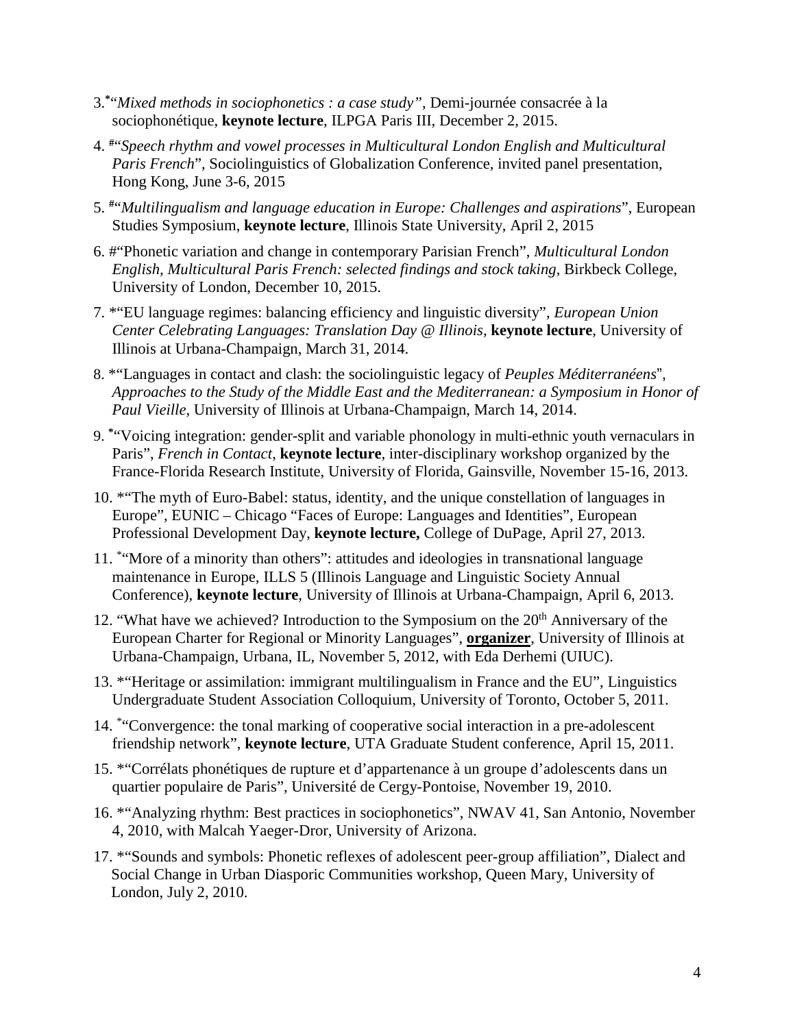- 3. **\***"*Mixed methods in sociophonetics : a case study"*, Demi-journée consacrée à la sociophonétique, **keynote lecture**, ILPGA Paris III, December 2, 2015.
- 4. **#**"*Speech rhythm and vowel processes in Multicultural London English and Multicultural Paris French*", Sociolinguistics of Globalization Conference, invited panel presentation, Hong Kong, June 3-6, 2015
- 5. **#**"*Multilingualism and language education in Europe: Challenges and aspirations*", European Studies Symposium, **keynote lecture**, Illinois State University, April 2, 2015
- 6. #"Phonetic variation and change in contemporary Parisian French", *Multicultural London English, Multicultural Paris French: selected findings and stock taking*, Birkbeck College, University of London, December 10, 2015.
- 7. \*"EU language regimes: balancing efficiency and linguistic diversity", *European Union Center Celebrating Languages: Translation Day @ Illinois*, **keynote lecture**, University of Illinois at Urbana-Champaign, March 31, 2014.
- 8. \*"Languages in contact and clash: the sociolinguistic legacy of *Peuples Méditerranéens*", *Approaches to the Study of the Middle East and the Mediterranean: a Symposium in Honor of Paul Vieille*, University of Illinois at Urbana-Champaign, March 14, 2014.
- 9. **\***"Voicing integration: gender-split and variable phonology in multi-ethnic youth vernaculars in Paris", *French in Contact*, **keynote lecture**, inter-disciplinary workshop organized by the France-Florida Research Institute, University of Florida, Gainsville, November 15-16, 2013.
- 10. \*"The myth of Euro-Babel: status, identity, and the unique constellation of languages in Europe", EUNIC – Chicago "Faces of Europe: Languages and Identities", European Professional Development Day, **keynote lecture,** College of DuPage, April 27, 2013.
- 11. \* "More of a minority than others": attitudes and ideologies in transnational language maintenance in Europe, ILLS 5 (Illinois Language and Linguistic Society Annual Conference), **keynote lecture**, University of Illinois at Urbana-Champaign, April 6, 2013.
- 12. "What have we achieved? Introduction to the Symposium on the  $20<sup>th</sup>$  Anniversary of the European Charter for Regional or Minority Languages", **organizer**, University of Illinois at Urbana-Champaign, Urbana, IL, November 5, 2012, with Eda Derhemi (UIUC).
- 13. \*"Heritage or assimilation: immigrant multilingualism in France and the EU", Linguistics Undergraduate Student Association Colloquium, University of Toronto, October 5, 2011.
- 14. \* "Convergence: the tonal marking of cooperative social interaction in a pre-adolescent friendship network", **keynote lecture**, UTA Graduate Student conference, April 15, 2011.
- 15. \*"Corrélats phonétiques de rupture et d'appartenance à un groupe d'adolescents dans un quartier populaire de Paris", Université de Cergy-Pontoise, November 19, 2010.
- 16. \*"Analyzing rhythm: Best practices in sociophonetics", NWAV 41, San Antonio, November 4, 2010, with Malcah Yaeger-Dror, University of Arizona.
- 17. \*"Sounds and symbols: Phonetic reflexes of adolescent peer-group affiliation", Dialect and Social Change in Urban Diasporic Communities workshop, Queen Mary, University of London, July 2, 2010.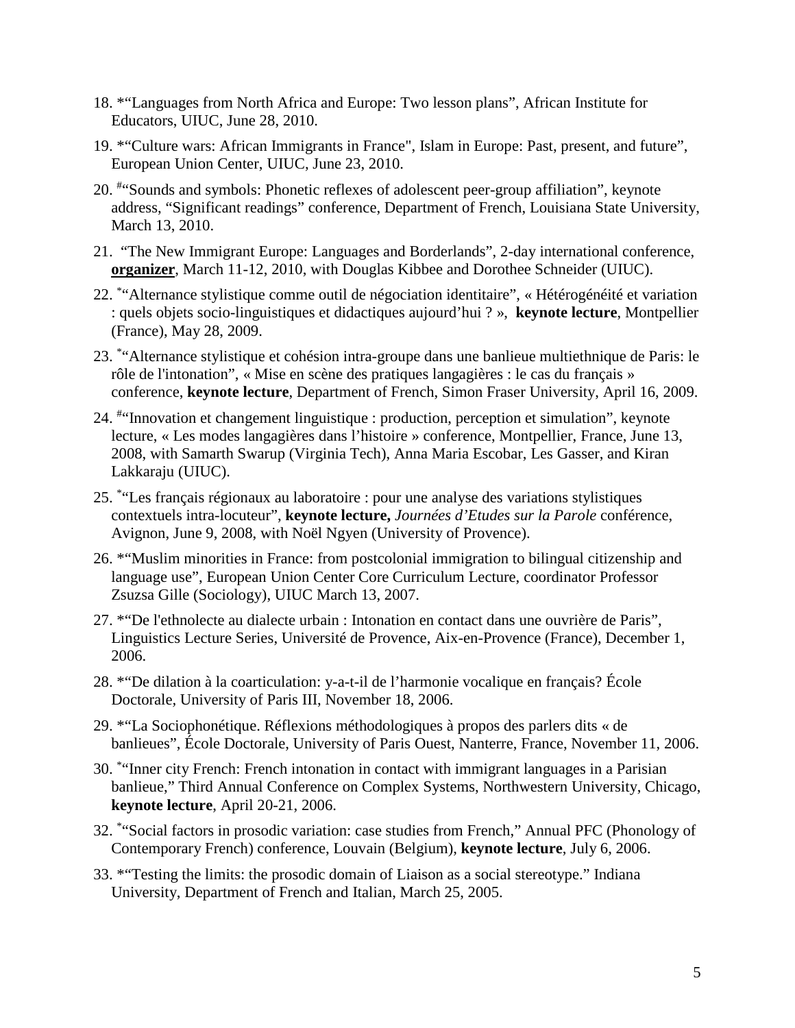- 18. \*"Languages from North Africa and Europe: Two lesson plans", African Institute for Educators, UIUC, June 28, 2010.
- 19. \*"Culture wars: African Immigrants in France", Islam in Europe: Past, present, and future", European Union Center, UIUC, June 23, 2010.
- 20. # "Sounds and symbols: Phonetic reflexes of adolescent peer-group affiliation", keynote address, "Significant readings" conference, Department of French, Louisiana State University, March 13, 2010.
- 21. "The New Immigrant Europe: Languages and Borderlands", 2-day international conference, **organizer**, March 11-12, 2010, with Douglas Kibbee and Dorothee Schneider (UIUC).
- 22. \* "Alternance stylistique comme outil de négociation identitaire", « Hétérogénéité et variation : quels objets socio-linguistiques et didactiques aujourd'hui ? », **keynote lecture**, Montpellier (France), May 28, 2009.
- 23. \* "Alternance stylistique et cohésion intra-groupe dans une banlieue multiethnique de Paris: le rôle de l'intonation", « Mise en scène des pratiques langagières : le cas du français » conference, **keynote lecture**, Department of French, Simon Fraser University, April 16, 2009.
- 24. #"Innovation et changement linguistique : production, perception et simulation", keynote lecture, « Les modes langagières dans l'histoire » conference, Montpellier, France, June 13, 2008, with Samarth Swarup (Virginia Tech), Anna Maria Escobar, Les Gasser, and Kiran Lakkaraju (UIUC).
- 25. \* "Les français régionaux au laboratoire : pour une analyse des variations stylistiques contextuels intra-locuteur", **keynote lecture,** *Journées d'Etudes sur la Parole* conférence, Avignon, June 9, 2008, with Noël Ngyen (University of Provence).
- 26. \*"Muslim minorities in France: from postcolonial immigration to bilingual citizenship and language use", European Union Center Core Curriculum Lecture, coordinator Professor Zsuzsa Gille (Sociology), UIUC March 13, 2007.
- 27. \*"De l'ethnolecte au dialecte urbain : Intonation en contact dans une ouvrière de Paris", Linguistics Lecture Series, Université de Provence, Aix-en-Provence (France), December 1, 2006.
- 28. \*"De dilation à la coarticulation: y-a-t-il de l'harmonie vocalique en français? École Doctorale*,* University of Paris III, November 18, 2006.
- 29. \*"La Sociophonétique. Réflexions méthodologiques à propos des parlers dits « de banlieues", École Doctorale, University of Paris Ouest, Nanterre, France, November 11, 2006.
- 30. \* "Inner city French: French intonation in contact with immigrant languages in a Parisian banlieue," Third Annual Conference on Complex Systems, Northwestern University, Chicago, **keynote lecture**, April 20-21, 2006.
- 32. \* "Social factors in prosodic variation: case studies from French," Annual PFC (Phonology of Contemporary French) conference, Louvain (Belgium), **keynote lecture**, July 6, 2006.
- 33. \*"Testing the limits: the prosodic domain of Liaison as a social stereotype." Indiana University, Department of French and Italian, March 25, 2005.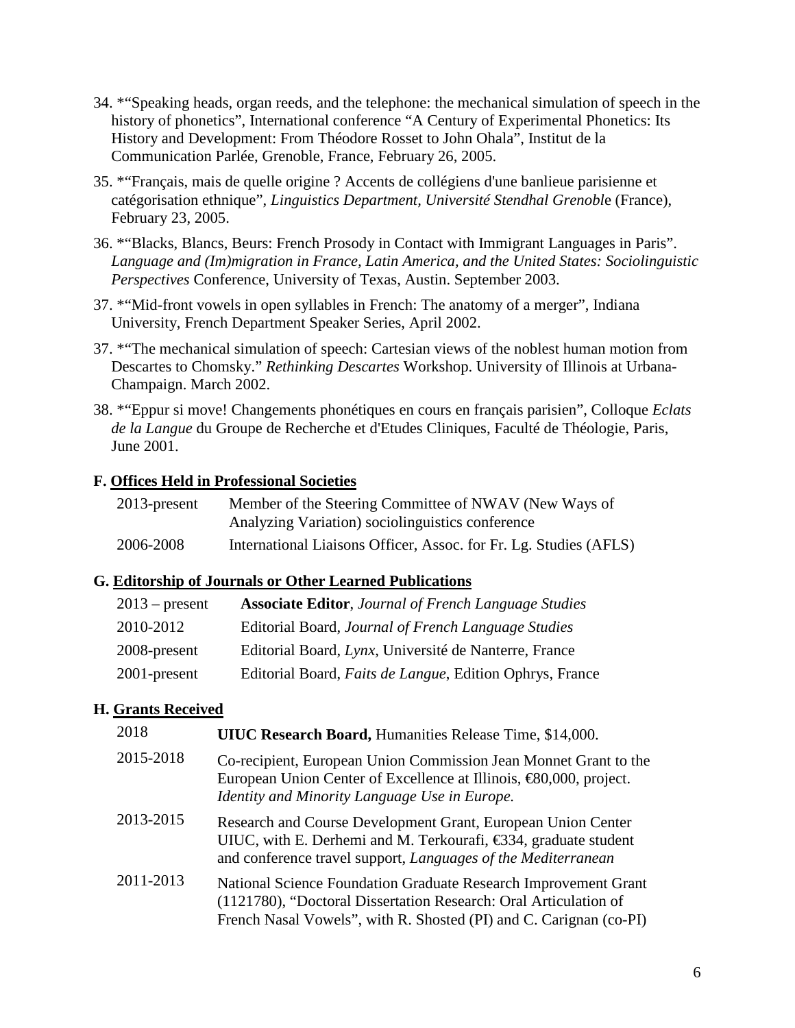- 34. \*"Speaking heads, organ reeds, and the telephone: the mechanical simulation of speech in the history of phonetics", International conference "A Century of Experimental Phonetics: Its History and Development: From Théodore Rosset to John Ohala", Institut de la Communication Parlée, Grenoble, France, February 26, 2005.
- 35. \*"Français, mais de quelle origine ? Accents de collégiens d'une banlieue parisienne et catégorisation ethnique", *Linguistics Department, Université Stendhal Grenobl*e (France), February 23, 2005.
- 36. \*"Blacks, Blancs, Beurs: French Prosody in Contact with Immigrant Languages in Paris". *Language and (Im)migration in France, Latin America, and the United States: Sociolinguistic Perspectives* Conference, University of Texas, Austin. September 2003.
- 37. \*"Mid-front vowels in open syllables in French: The anatomy of a merger", Indiana University, French Department Speaker Series, April 2002.
- 37. \*"The mechanical simulation of speech: Cartesian views of the noblest human motion from Descartes to Chomsky." *Rethinking Descartes* Workshop. University of Illinois at Urbana-Champaign. March 2002.
- 38. \*"Eppur si move! Changements phonétiques en cours en français parisien", Colloque *Eclats de la Langue* du Groupe de Recherche et d'Etudes Cliniques, Faculté de Théologie, Paris, June 2001.

## **F. Offices Held in Professional Societies**

| $2013$ -present | Member of the Steering Committee of NWAV (New Ways of             |
|-----------------|-------------------------------------------------------------------|
|                 | Analyzing Variation) sociolinguistics conference                  |
| 2006-2008       | International Liaisons Officer, Assoc. for Fr. Lg. Studies (AFLS) |

### **G. Editorship of Journals or Other Learned Publications**

| $2013$ – present | <b>Associate Editor, Journal of French Language Studies</b>      |
|------------------|------------------------------------------------------------------|
| 2010-2012        | Editorial Board, Journal of French Language Studies              |
| 2008-present     | Editorial Board, Lynx, Université de Nanterre, France            |
| 2001-present     | Editorial Board, <i>Faits de Langue</i> , Edition Ophrys, France |

# **H. Grants Received**

| 2018      | <b>UIUC Research Board, Humanities Release Time, \$14,000.</b>                                                                                                                                               |
|-----------|--------------------------------------------------------------------------------------------------------------------------------------------------------------------------------------------------------------|
| 2015-2018 | Co-recipient, European Union Commission Jean Monnet Grant to the<br>European Union Center of Excellence at Illinois, $\text{\textsterling}0,000$ , project.<br>Identity and Minority Language Use in Europe. |
| 2013-2015 | Research and Course Development Grant, European Union Center<br>UIUC, with E. Derhemi and M. Terkourafi, $\epsilon$ 34, graduate student<br>and conference travel support, Languages of the Mediterranean    |
| 2011-2013 | National Science Foundation Graduate Research Improvement Grant<br>(1121780), "Doctoral Dissertation Research: Oral Articulation of<br>French Nasal Vowels", with R. Shosted (PI) and C. Carignan (co-PI)    |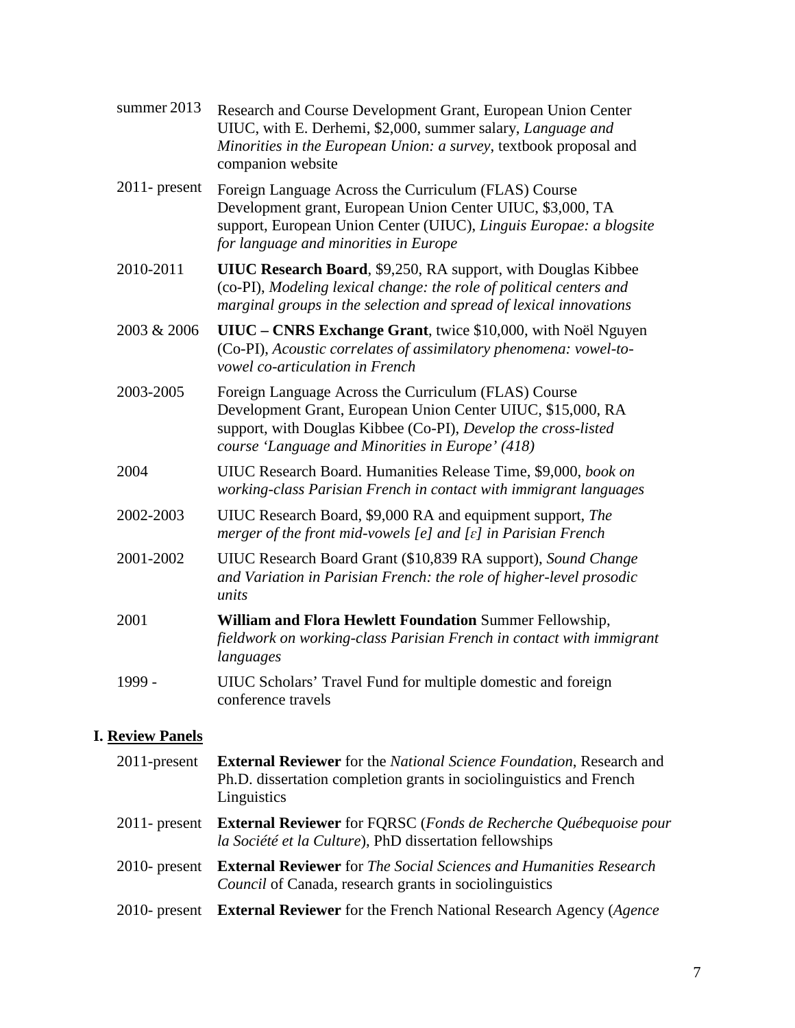| summer 2013      | Research and Course Development Grant, European Union Center<br>UIUC, with E. Derhemi, \$2,000, summer salary, Language and<br>Minorities in the European Union: a survey, textbook proposal and<br>companion website                     |
|------------------|-------------------------------------------------------------------------------------------------------------------------------------------------------------------------------------------------------------------------------------------|
| $2011$ - present | Foreign Language Across the Curriculum (FLAS) Course<br>Development grant, European Union Center UIUC, \$3,000, TA<br>support, European Union Center (UIUC), Linguis Europae: a blogsite<br>for language and minorities in Europe         |
| 2010-2011        | <b>UIUC Research Board, \$9,250, RA support, with Douglas Kibbee</b><br>(co-PI), Modeling lexical change: the role of political centers and<br>marginal groups in the selection and spread of lexical innovations                         |
| 2003 & 2006      | UIUC – CNRS Exchange Grant, twice \$10,000, with Noël Nguyen<br>(Co-PI), Acoustic correlates of assimilatory phenomena: vowel-to-<br>vowel co-articulation in French                                                                      |
| 2003-2005        | Foreign Language Across the Curriculum (FLAS) Course<br>Development Grant, European Union Center UIUC, \$15,000, RA<br>support, with Douglas Kibbee (Co-PI), Develop the cross-listed<br>course 'Language and Minorities in Europe' (418) |
| 2004             | UIUC Research Board. Humanities Release Time, \$9,000, book on<br>working-class Parisian French in contact with immigrant languages                                                                                                       |
| 2002-2003        | UIUC Research Board, \$9,000 RA and equipment support, The<br>merger of the front mid-vowels [e] and $[\varepsilon]$ in Parisian French                                                                                                   |
| 2001-2002        | UIUC Research Board Grant (\$10,839 RA support), Sound Change<br>and Variation in Parisian French: the role of higher-level prosodic<br>units                                                                                             |
| 2001             | William and Flora Hewlett Foundation Summer Fellowship,<br>fieldwork on working-class Parisian French in contact with immigrant<br>languages                                                                                              |
| 1999 -           | UIUC Scholars' Travel Fund for multiple domestic and foreign<br>conference travels                                                                                                                                                        |

# **I. Review Panels**

| $2011$ -present  | <b>External Reviewer</b> for the National Science Foundation, Research and<br>Ph.D. dissertation completion grants in sociolinguistics and French<br>Linguistics |
|------------------|------------------------------------------------------------------------------------------------------------------------------------------------------------------|
| $2011$ - present | <b>External Reviewer</b> for FQRSC (Fonds de Recherche Québequoise pour<br>la Société et la Culture), PhD dissertation fellowships                               |
| $2010$ - present | <b>External Reviewer</b> for <i>The Social Sciences and Humanities Research</i><br><i>Council</i> of Canada, research grants in sociolinguistics                 |
| $2010$ - present | <b>External Reviewer</b> for the French National Research Agency (Agence                                                                                         |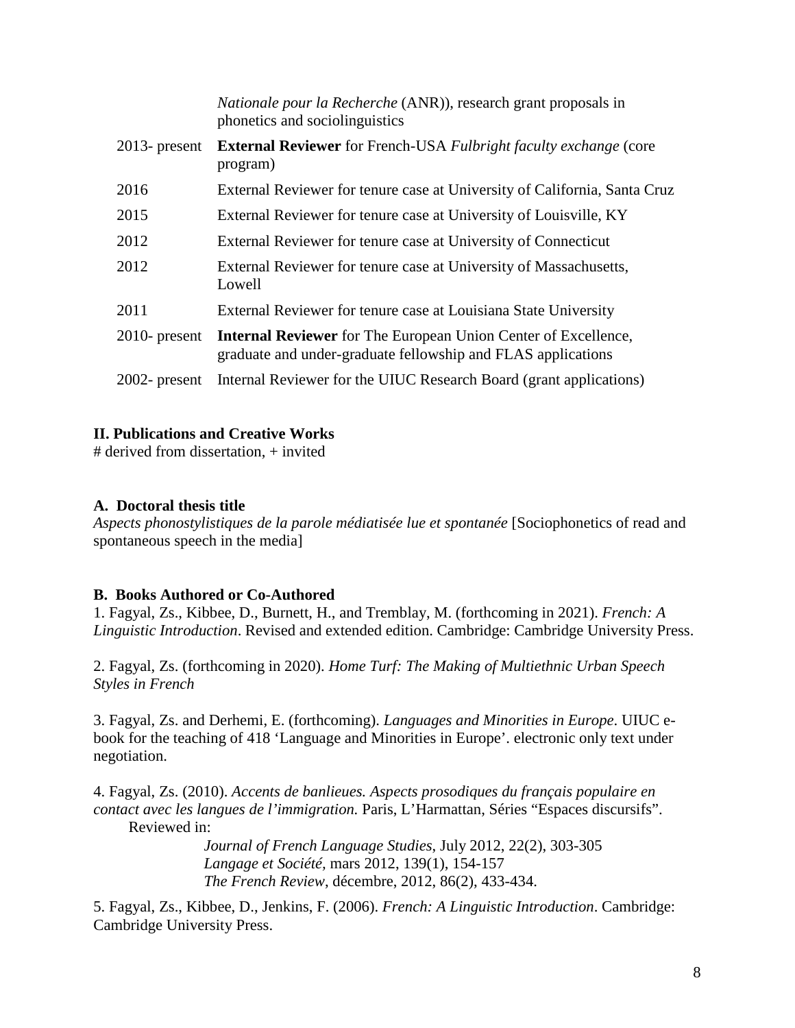|                  | <i>Nationale pour la Recherche</i> (ANR), research grant proposals in<br>phonetics and sociolinguistics                               |
|------------------|---------------------------------------------------------------------------------------------------------------------------------------|
| $2013$ - present | <b>External Reviewer</b> for French-USA Fulbright faculty exchange (core<br>program)                                                  |
| 2016             | External Reviewer for tenure case at University of California, Santa Cruz                                                             |
| 2015             | External Reviewer for tenure case at University of Louisville, KY                                                                     |
| 2012             | External Reviewer for tenure case at University of Connecticut                                                                        |
| 2012             | External Reviewer for tenure case at University of Massachusetts,<br>Lowell                                                           |
| 2011             | External Reviewer for tenure case at Louisiana State University                                                                       |
| $2010$ - present | <b>Internal Reviewer</b> for The European Union Center of Excellence,<br>graduate and under-graduate fellowship and FLAS applications |
| $2002$ - present | Internal Reviewer for the UIUC Research Board (grant applications)                                                                    |

### **II. Publications and Creative Works**

# derived from dissertation, + invited

### **A. Doctoral thesis title**

*Aspects phonostylistiques de la parole médiatisée lue et spontanée* [Sociophonetics of read and spontaneous speech in the media]

### **B. Books Authored or Co-Authored**

1. Fagyal, Zs., Kibbee, D., Burnett, H., and Tremblay, M. (forthcoming in 2021). *French: A Linguistic Introduction*. Revised and extended edition. Cambridge: Cambridge University Press.

2. Fagyal, Zs. (forthcoming in 2020). *Home Turf: The Making of Multiethnic Urban Speech Styles in French*

3. Fagyal, Zs. and Derhemi, E. (forthcoming). *Languages and Minorities in Europe*. UIUC ebook for the teaching of 418 'Language and Minorities in Europe'. electronic only text under negotiation.

4. Fagyal, Zs. (2010). *Accents de banlieues. Aspects prosodiques du français populaire en contact avec les langues de l'immigration.* Paris, L'Harmattan, Séries "Espaces discursifs". Reviewed in:

> *[Journal of French Language Studies](http://journals.cambridge.org/action/displayJournal?jid=JFL)*, July 2012, [22\(](http://journals.cambridge.org/action/displayJournal?jid=JFL&volumeId=17&bVolume=y#loc17)2), 303-305 *Langage et Société,* mars 2012, 139(1), 154-157 *The French Review*, décembre, 2012, 86(2), 433-434.

5. Fagyal, Zs., Kibbee, D., Jenkins, F. (2006). *French: A Linguistic Introduction*. Cambridge: Cambridge University Press.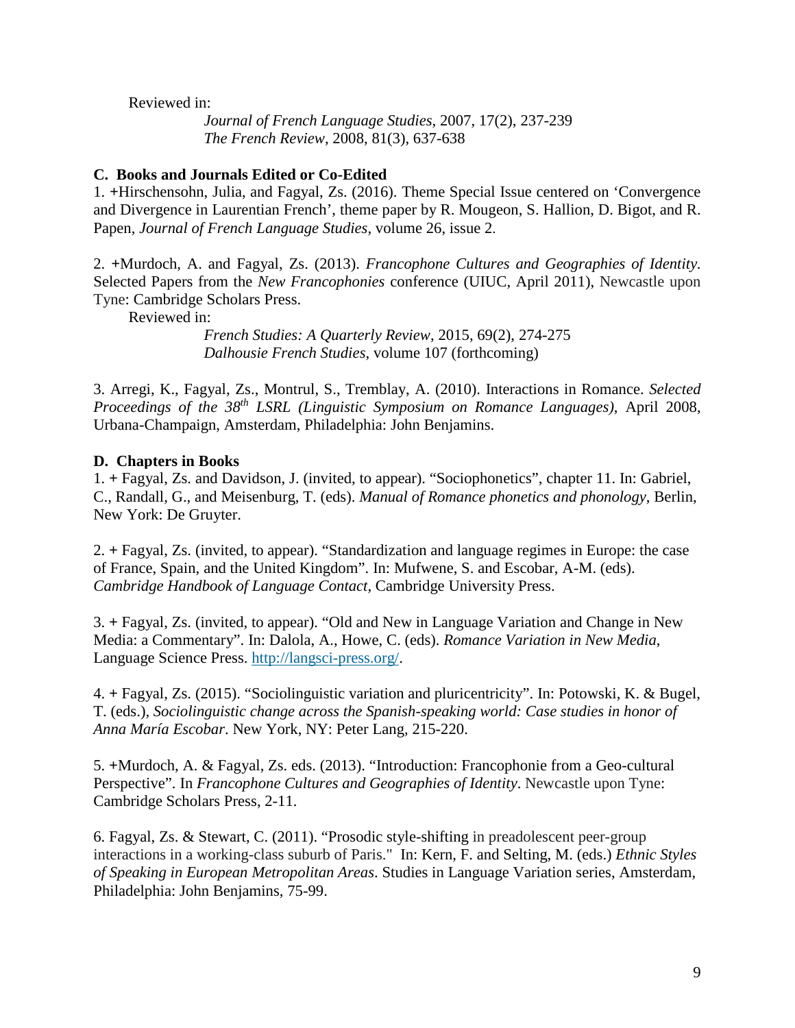Reviewed in:

*[Journal of French Language Studies](http://journals.cambridge.org/action/displayJournal?jid=JFL)*, 2007, [17\(](http://journals.cambridge.org/action/displayJournal?jid=JFL&volumeId=17&bVolume=y#loc17)2), 237-239 *The French Review*, 2008, 81(3), 637-638

#### **C. Books and Journals Edited or Co-Edited**

1. **+**Hirschensohn, Julia, and Fagyal, Zs. (2016). Theme Special Issue centered on 'Convergence and Divergence in Laurentian French', theme paper by R. Mougeon, S. Hallion, D. Bigot, and R. Papen, *[Journal of French Language Studies,](http://journals.cambridge.org/action/displayJournal?jid=JFL)* volume 26, issue 2.

2. **+**Murdoch, A. and Fagyal, Zs. (2013). *Francophone Cultures and Geographies of Identity.*  Selected Papers from the *New Francophonies* conference (UIUC, April 2011), Newcastle upon Tyne: Cambridge Scholars Press.

Reviewed in:

*[French](http://journals.cambridge.org/action/displayJournal?jid=JFL) Studies: A Quarterly Review*, 2015, [69\(](http://journals.cambridge.org/action/displayJournal?jid=JFL&volumeId=17&bVolume=y#loc17)2), 274-275 *Dalhousie French Studies*, volume 107 (forthcoming)

3. Arregi, K., Fagyal, Zs., Montrul, S., Tremblay, A. (2010). Interactions in Romance. *Selected Proceedings of the 38th LSRL (Linguistic Symposium on Romance Languages)*, April 2008, Urbana-Champaign, Amsterdam, Philadelphia: John Benjamins.

### **D. Chapters in Books**

1. **+** Fagyal, Zs. and Davidson, J. (invited, to appear). "Sociophonetics", chapter 11. In: Gabriel, C., Randall, G., and Meisenburg, T. (eds). *Manual of Romance phonetics and phonology*, Berlin, New York: De Gruyter.

2. **+** Fagyal, Zs. (invited, to appear). "Standardization and language regimes in Europe: the case of France, Spain, and the United Kingdom". In: Mufwene, S. and Escobar, A-M. (eds). *Cambridge Handbook of Language Contact*, Cambridge University Press.

3. **+** Fagyal, Zs. (invited, to appear). "Old and New in Language Variation and Change in New Media: a Commentary". In: Dalola, A., Howe, C. (eds). *Romance Variation in New Media*, Language Science Press. [http://langsci-press.org/.](http://langsci-press.org/)

4. **+** Fagyal, Zs. (2015). "Sociolinguistic variation and pluricentricity". In: Potowski, K. & Bugel, T. (eds.), *Sociolinguistic change across the Spanish-speaking world: Case studies in honor of Anna María Escobar*. New York, NY: Peter Lang, 215-220.

5. **+**Murdoch, A. & Fagyal, Zs. eds. (2013). "Introduction: Francophonie from a Geo-cultural Perspective". In *Francophone Cultures and Geographies of Identity*. Newcastle upon Tyne: Cambridge Scholars Press, 2-11.

6. Fagyal, Zs. & Stewart, C. (2011). "Prosodic style-shifting in preadolescent peer-group interactions in a working-class suburb of Paris." In: Kern, F. and Selting, M. (eds.) *Ethnic Styles of Speaking in European Metropolitan Areas*. Studies in Language Variation series, Amsterdam, Philadelphia: John Benjamins, 75-99.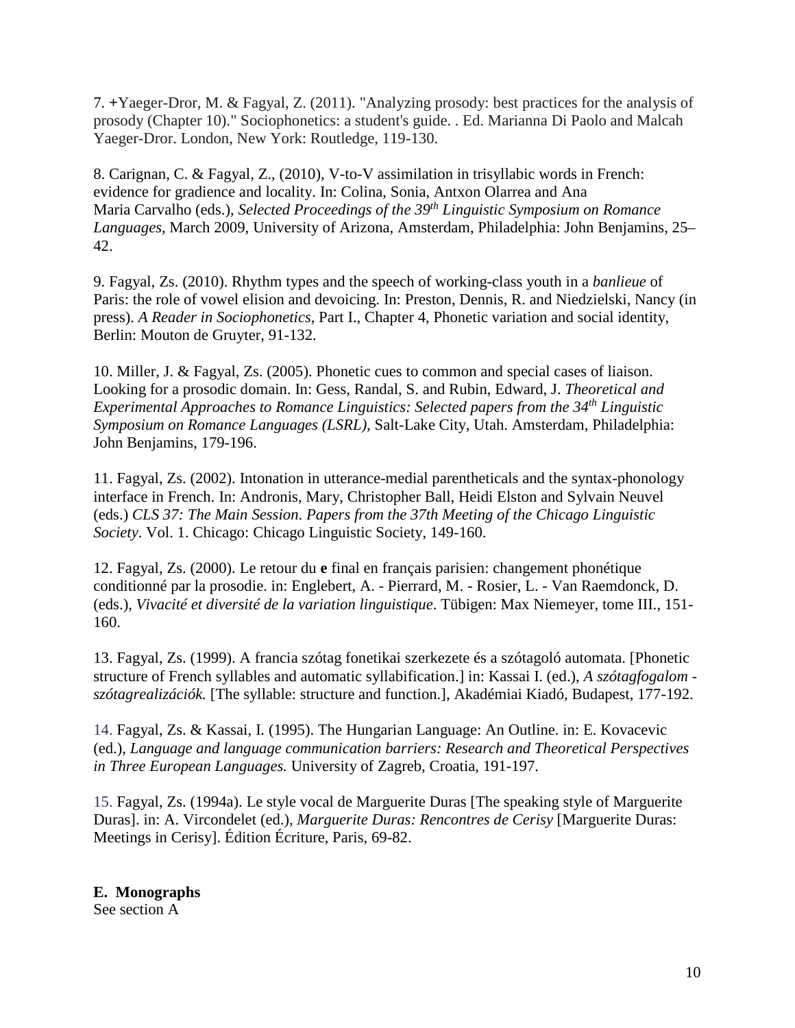7. **+**Yaeger-Dror, M. & Fagyal, Z. (2011). "Analyzing prosody: best practices for the analysis of prosody (Chapter 10)." Sociophonetics: a student's guide. . Ed. Marianna Di Paolo and Malcah Yaeger-Dror. London, New York: Routledge, 119-130.

8. Carignan, C. & Fagyal, Z., (2010), V-to-V assimilation in trisyllabic words in French: evidence for gradience and locality. In: Colina, Sonia, Antxon Olarrea and Ana Maria Carvalho (eds.), *Selected Proceedings of the 39th Linguistic Symposium on Romance Languages*, March 2009, University of Arizona, Amsterdam, Philadelphia: John Benjamins, 25– 42.

9. Fagyal, Zs. (2010). Rhythm types and the speech of working-class youth in a *banlieue* of Paris: the role of vowel elision and devoicing. In: Preston, Dennis, R. and Niedzielski, Nancy (in press). *A Reader in Sociophonetics*, Part I., Chapter 4, Phonetic variation and social identity, Berlin: Mouton de Gruyter, 91-132.

10. Miller, J. & Fagyal, Zs. (2005). Phonetic cues to common and special cases of liaison. Looking for a prosodic domain. In: Gess, Randal, S. and Rubin, Edward, J. *Theoretical and Experimental Approaches to Romance Linguistics: Selected papers from the 34th Linguistic Symposium on Romance Languages (LSRL),* Salt-Lake City, Utah. Amsterdam, Philadelphia: John Benjamins, 179-196.

11. Fagyal, Zs. (2002). Intonation in utterance-medial parentheticals and the syntax-phonology interface in French. In: Andronis, Mary, Christopher Ball, Heidi Elston and Sylvain Neuvel (eds.) *CLS 37: The Main Session*. *Papers from the 37th Meeting of the Chicago Linguistic Society*. Vol. 1. Chicago: Chicago Linguistic Society, 149-160.

12. Fagyal, Zs. (2000). Le retour du **e** final en français parisien: changement phonétique conditionné par la prosodie. in: Englebert, A. - Pierrard, M. - Rosier, L. - Van Raemdonck, D. (eds.), *Vivacité et diversité de la variation linguistique*. Tübigen: Max Niemeyer, tome III., 151- 160.

13. Fagyal, Zs. (1999). A francia szótag fonetikai szerkezete és a szótagoló automata. [Phonetic structure of French syllables and automatic syllabification.] in: Kassai I. (ed.), *A szótagfogalom szótagrealizációk.* [The syllable: structure and function.], Akadémiai Kiadó, Budapest, 177-192.

14. Fagyal, Zs. & Kassai, I. (1995). The Hungarian Language: An Outline. in: E. Kovacevic (ed.), *Language and language communication barriers: Research and Theoretical Perspectives in Three European Languages.* University of Zagreb, Croatia, 191-197.

15. Fagyal, Zs. (1994a). Le style vocal de Marguerite Duras [The speaking style of Marguerite Duras]. in: A. Vircondelet (ed.), *Marguerite Duras: Rencontres de Cerisy* [Marguerite Duras: Meetings in Cerisy]. Édition Écriture, Paris, 69-82.

**E. Monographs** See section A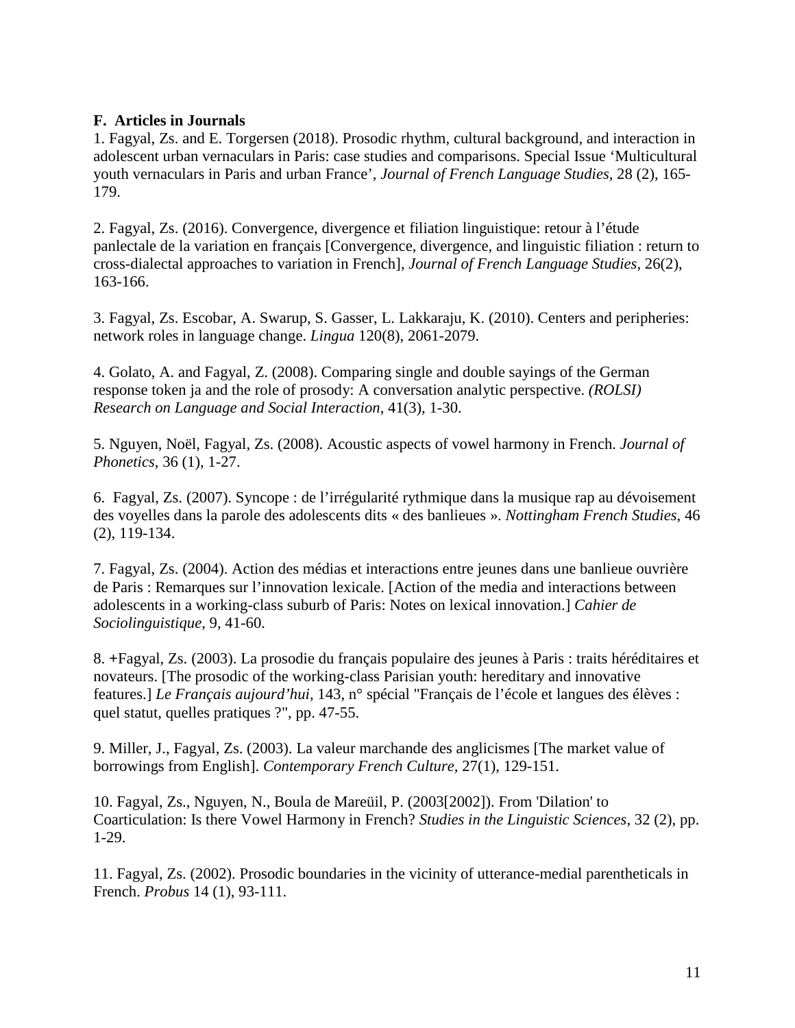#### **F. Articles in Journals**

1. Fagyal, Zs. and E. Torgersen (2018). Prosodic rhythm, cultural background, and interaction in adolescent urban vernaculars in Paris: case studies and comparisons. Special Issue 'Multicultural youth vernaculars in Paris and urban France', *Journal of French Language Studies*, 28 (2), 165- 179.

2. Fagyal, Zs. (2016). Convergence, divergence et filiation linguistique: retour à l'étude panlectale de la variation en français [Convergence, divergence, and linguistic filiation : return to cross-dialectal approaches to variation in French], *Journal of French Language Studies*, 26(2), 163-166.

3. Fagyal, Zs. Escobar, A. Swarup, S. Gasser, L. Lakkaraju, K. (2010). Centers and peripheries: network roles in language change. *Lingua* 120(8), 2061-2079.

4. Golato, A. and Fagyal, Z. (2008). Comparing single and double sayings of the German response token ja and the role of prosody: A conversation analytic perspective. *(ROLSI) Research on Language and Social Interaction*, 41(3), 1-30.

5. Nguyen, Noël, Fagyal, Zs. (2008). Acoustic aspects of vowel harmony in French. *Journal of Phonetics*, 36 (1), 1-27.

6. Fagyal, Zs. (2007). Syncope : de l'irrégularité rythmique dans la musique rap au dévoisement des voyelles dans la parole des adolescents dits « des banlieues ». *Nottingham French Studies*, 46 (2), 119-134.

7. Fagyal, Zs. (2004). Action des médias et interactions entre jeunes dans une banlieue ouvrière de Paris : Remarques sur l'innovation lexicale. [Action of the media and interactions between adolescents in a working-class suburb of Paris: Notes on lexical innovation.] *Cahier de Sociolinguistique*, 9, 41-60.

8. **+**Fagyal, Zs. (2003). La prosodie du français populaire des jeunes à Paris : traits héréditaires et novateurs. [The prosodic of the working-class Parisian youth: hereditary and innovative features.] *Le Français aujourd'hui*, 143, n° spécial "Français de l'école et langues des élèves : quel statut, quelles pratiques ?", pp. 47-55.

9. Miller, J., Fagyal, Zs. (2003). La valeur marchande des anglicismes [The market value of borrowings from English]. *Contemporary French Culture,* 27(1), 129-151.

10. Fagyal, Zs., Nguyen, N., Boula de Mareüil, P. (2003[2002]). From 'Dilation' to Coarticulation: Is there Vowel Harmony in French? *Studies in the Linguistic Sciences*, 32 (2), pp. 1-29.

11. Fagyal, Zs. (2002). Prosodic boundaries in the vicinity of utterance-medial parentheticals in French. *Probus* 14 (1), 93-111.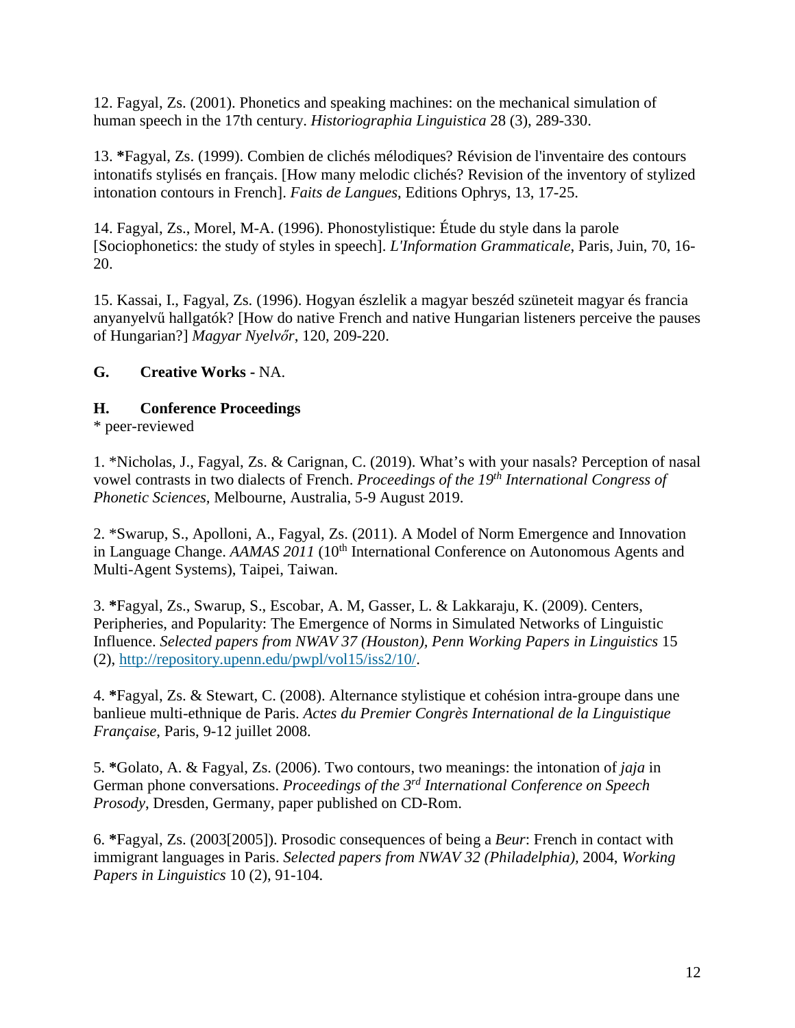12. Fagyal, Zs. (2001). Phonetics and speaking machines: on the mechanical simulation of human speech in the 17th century. *Historiographia Linguistica* 28 (3), 289-330.

13. **\***Fagyal, Zs. (1999). Combien de clichés mélodiques? Révision de l'inventaire des contours intonatifs stylisés en français. [How many melodic clichés? Revision of the inventory of stylized intonation contours in French]. *Faits de Langues*, Editions Ophrys, 13, 17-25.

14. Fagyal, Zs., Morel, M-A. (1996). Phonostylistique: Étude du style dans la parole [Sociophonetics: the study of styles in speech]. *L'Information Grammaticale*, Paris, Juin, 70, 16- 20.

15. Kassai, I., Fagyal, Zs. (1996). Hogyan észlelik a magyar beszéd szüneteit magyar és francia anyanyelvű hallgatók? [How do native French and native Hungarian listeners perceive the pauses of Hungarian?] *Magyar Nyelvőr*, 120, 209-220.

## **G. Creative Works -** NA.

### **H. Conference Proceedings**

\* peer-reviewed

1. \*Nicholas, J., Fagyal, Zs. & Carignan, C. (2019). What's with your nasals? Perception of nasal vowel contrasts in two dialects of French. *Proceedings of the 19th International Congress of Phonetic Sciences,* Melbourne, Australia, 5-9 August 2019.

2. \*Swarup, S., Apolloni, A., Fagyal, Zs. (2011). A Model of Norm Emergence and Innovation in Language Change. *AAMAS 2011* (10<sup>th</sup> International Conference on Autonomous Agents and Multi-Agent Systems), Taipei, Taiwan.

3. **\***Fagyal, Zs., Swarup, S., Escobar, A. M, Gasser, L. & Lakkaraju, K. (2009). Centers, Peripheries, and Popularity: The Emergence of Norms in Simulated Networks of Linguistic Influence. *Selected papers from NWAV 37 (Houston), Penn Working Papers in Linguistics* 15 (2), [http://repository.upenn.edu/pwpl/vol15/iss2/10/.](http://repository.upenn.edu/pwpl/vol15/iss2/10/)

4. **\***Fagyal, Zs. & Stewart, C. (2008). Alternance stylistique et cohésion intra-groupe dans une banlieue multi-ethnique de Paris. *Actes du Premier Congrès International de la Linguistique Française*, Paris, 9-12 juillet 2008.

5. **\***Golato, A. & Fagyal, Zs. (2006). Two contours, two meanings: the intonation of *jaja* in German phone conversations. *Proceedings of the 3rd International Conference on Speech Prosody*, Dresden, Germany, paper published on CD-Rom.

6. **\***Fagyal, Zs. (2003[2005]). Prosodic consequences of being a *Beur*: French in contact with immigrant languages in Paris. *Selected papers from NWAV 32 (Philadelphia),* 2004, *Working Papers in Linguistics* 10 (2), 91-104.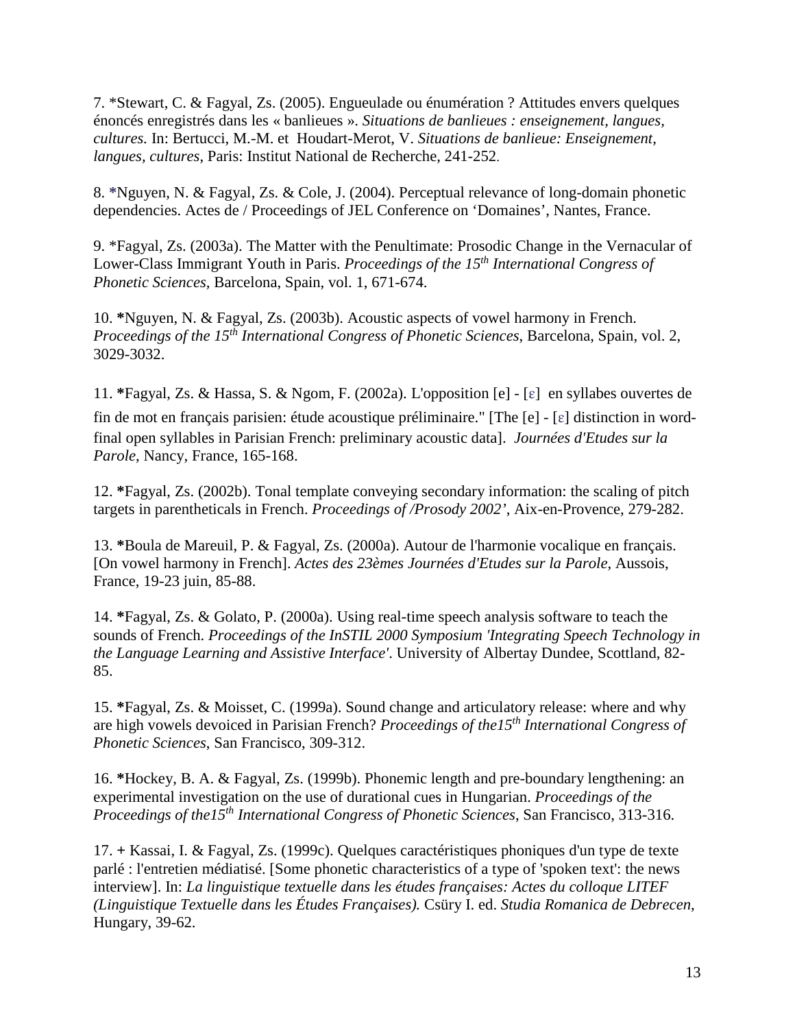7. \*Stewart, C. & Fagyal, Zs. (2005). Engueulade ou énumération ? Attitudes envers quelques énoncés enregistrés dans les « banlieues ». *Situations de banlieues : enseignement, langues, cultures.* In: Bertucci, M.-M. et Houdart-Merot, V. *Situations de banlieue: Enseignement, langues, cultures*, Paris: Institut National de Recherche, 241-252.

8. **\***Nguyen, N. & Fagyal, Zs. & Cole, J. (2004). Perceptual relevance of long-domain phonetic dependencies. Actes de / Proceedings of JEL Conference on 'Domaines', Nantes, France.

9. \*Fagyal, Zs. (2003a). The Matter with the Penultimate: Prosodic Change in the Vernacular of Lower-Class Immigrant Youth in Paris. *Proceedings of the 15th International Congress of Phonetic Sciences,* Barcelona, Spain, vol. 1, 671-674.

10. **\***Nguyen, N. & Fagyal, Zs. (2003b). Acoustic aspects of vowel harmony in French. *Proceedings of the 15th International Congress of Phonetic Sciences*, Barcelona, Spain, vol. 2, 3029-3032.

11. **\***Fagyal, Zs. & Hassa, S. & Ngom, F. (2002a). L'opposition [e] - [ɛ] en syllabes ouvertes de fin de mot en français parisien: étude acoustique préliminaire." [The [e] - [ɛ] distinction in wordfinal open syllables in Parisian French: preliminary acoustic data]. *Journées d'Etudes sur la Parole*, Nancy, France, 165-168.

12. **\***Fagyal, Zs. (2002b). Tonal template conveying secondary information: the scaling of pitch targets in parentheticals in French. *Proceedings of /Prosody 2002'*, Aix-en-Provence, 279-282.

13. **\***Boula de Mareuil, P. & Fagyal, Zs. (2000a). Autour de l'harmonie vocalique en français. [On vowel harmony in French]. *Actes des 23èmes Journées d'Etudes sur la Parole*, Aussois, France, 19-23 juin, 85-88.

14. **\***Fagyal, Zs. & Golato, P. (2000a). Using real-time speech analysis software to teach the sounds of French. *Proceedings of the InSTIL 2000 Symposium 'Integrating Speech Technology in the Language Learning and Assistive Interface'*. University of Albertay Dundee, Scottland, 82- 85.

15. **\***Fagyal, Zs. & Moisset, C. (1999a). Sound change and articulatory release: where and why are high vowels devoiced in Parisian French? *Proceedings of the15th International Congress of Phonetic Sciences*, San Francisco, 309-312.

16. **\***Hockey, B. A. & Fagyal, Zs. (1999b). Phonemic length and pre-boundary lengthening: an experimental investigation on the use of durational cues in Hungarian. *Proceedings of the Proceedings of the15th [International Congress of Phonetic Sciences](http://trill.berkeley.edu/ICPhS)*, San Francisco, 313-316.

17. **+** Kassai, I. & Fagyal, Zs. (1999c). Quelques caractéristiques phoniques d'un type de texte parlé : l'entretien médiatisé. [Some phonetic characteristics of a type of 'spoken text': the news interview]. In: *La linguistique textuelle dans les études françaises: Actes du colloque LITEF (Linguistique Textuelle dans les Études Françaises).* Csüry I. ed. *Studia Romanica de Debrecen*, Hungary, 39-62.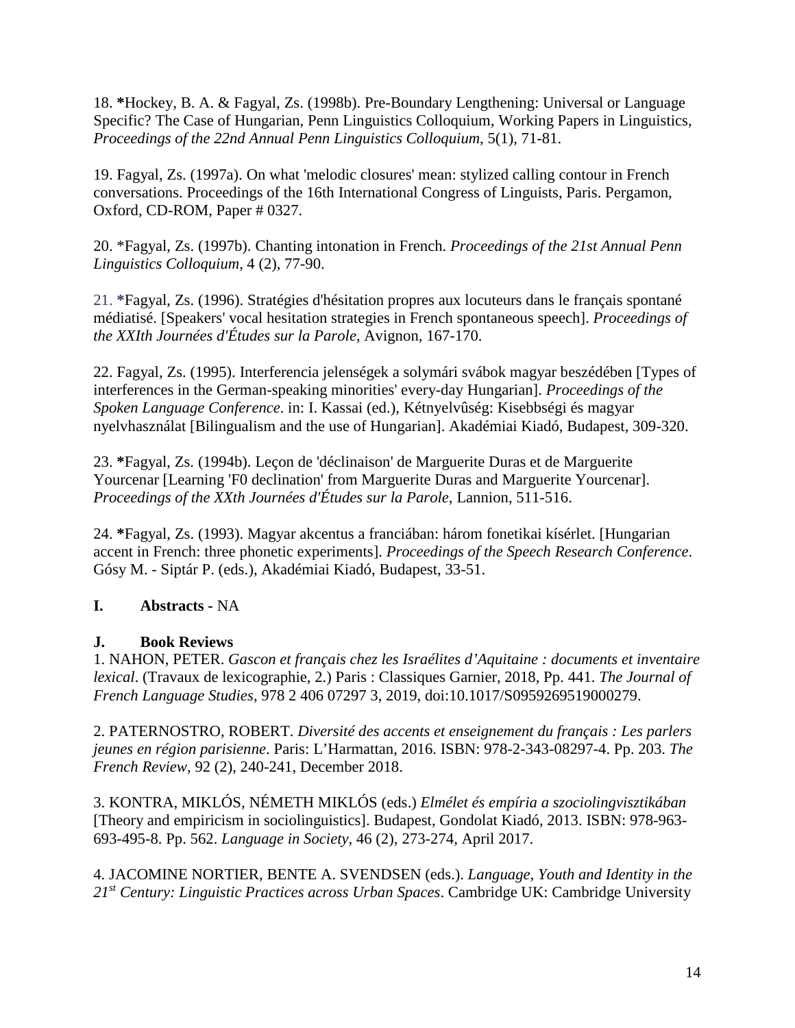18. **\***Hockey, B. A. & Fagyal, Zs. (1998b). Pre-Boundary Lengthening: Universal or Language Specific? The Case of Hungarian, Penn Linguistics Colloquium, Working Papers in Linguistics, *Proceedings of the 22nd Annual Penn Linguistics Colloquium*, 5(1), 71-81.

19. Fagyal, Zs. (1997a). On what 'melodic closures' mean: stylized calling contour in French conversations. Proceedings of the 16th International Congress of Linguists, Paris. Pergamon, Oxford, CD-ROM, Paper # 0327.

20. \*Fagyal, Zs. (1997b). Chanting intonation in French. *Proceedings of the 21st Annual Penn Linguistics Colloquium*, 4 (2), 77-90.

21. **\***Fagyal, Zs. (1996). Stratégies d'hésitation propres aux locuteurs dans le français spontané médiatisé. [Speakers' vocal hesitation strategies in French spontaneous speech]. *Proceedings of the XXIth Journées d'Études sur la Parole*, Avignon, 167-170.

22. Fagyal, Zs. (1995). Interferencia jelenségek a solymári svábok magyar beszédében [Types of interferences in the German-speaking minorities' every-day Hungarian]. *Proceedings of the Spoken Language Conference*. in: I. Kassai (ed.), Kétnyelvûség: Kisebbségi és magyar nyelvhasználat [Bilingualism and the use of Hungarian]. Akadémiai Kiadó, Budapest, 309-320.

23. **\***Fagyal, Zs. (1994b). Leçon de 'déclinaison' de Marguerite Duras et de Marguerite Yourcenar [Learning 'F0 declination' from Marguerite Duras and Marguerite Yourcenar]. *Proceedings of the XXth Journées d'Études sur la Parole*, Lannion, 511-516.

24. **\***Fagyal, Zs. (1993). Magyar akcentus a franciában: három fonetikai kísérlet. [Hungarian accent in French: three phonetic experiments]. *Proceedings of the Speech Research Conference*. Gósy M. - Siptár P. (eds.), Akadémiai Kiadó, Budapest, 33-51.

# **I. Abstracts -** NA

# **J. Book Reviews**

1. NAHON, PETER. *Gascon et français chez les Israélites d'Aquitaine : documents et inventaire lexical*. (Travaux de lexicographie, 2.) Paris : Classiques Garnier, 2018, Pp. 441. *The Journal of French Language Studies,* 978 2 406 07297 3, 2019, doi:10.1017/S0959269519000279.

2. PATERNOSTRO, ROBERT. *Diversité des accents et enseignement du français : Les parlers jeunes en région parisienne*. Paris: L'Harmattan, 2016. ISBN: 978-2-343-08297-4. Pp. 203. *The French Review,* 92 (2), 240-241, December 2018.

3. KONTRA, MIKLÓS, NÉMETH MIKLÓS (eds.) *Elmélet és empíria a szociolingvisztikában* [Theory and empiricism in sociolinguistics]. Budapest, Gondolat Kiadó, 2013. ISBN: 978-963- 693-495-8. Pp. 562. *Language in Society*, 46 (2), 273-274, April 2017.

4. JACOMINE NORTIER, BENTE A. SVENDSEN (eds.). *Language, Youth and Identity in the 21st Century: Linguistic Practices across Urban Spaces*. Cambridge UK: Cambridge University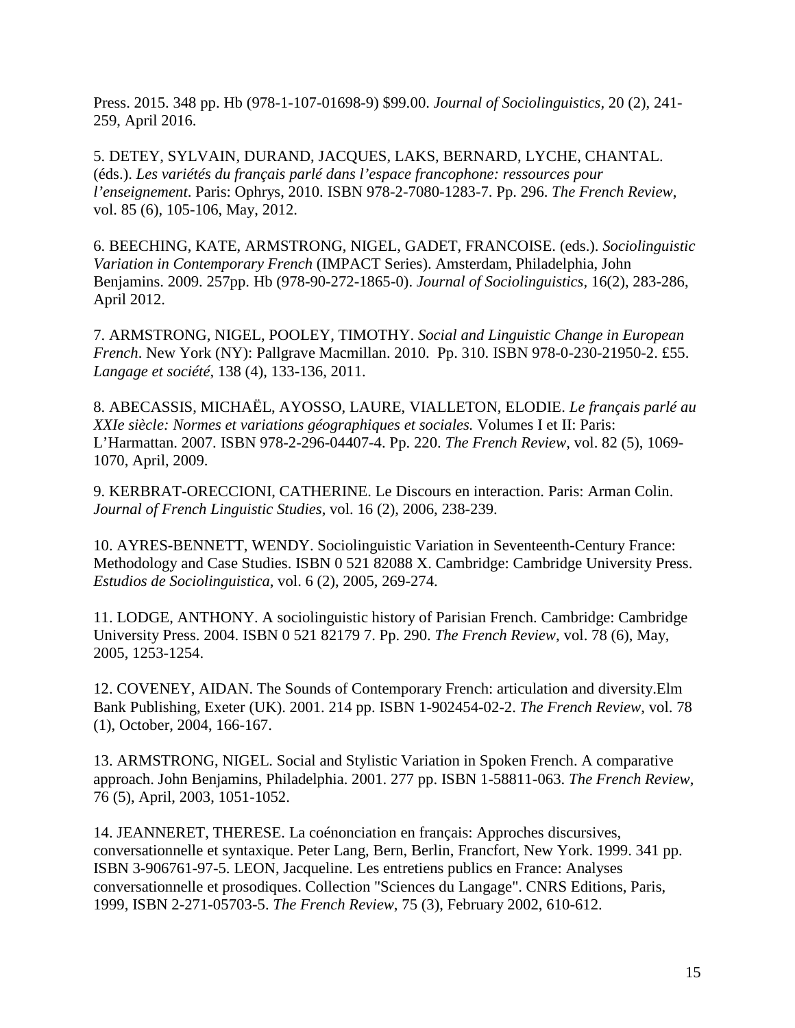Press. 2015. 348 pp. Hb (978-1-107-01698-9) \$99.00. *Journal of Sociolinguistics,* 20 (2), 241- 259, April 2016.

5. DETEY, SYLVAIN, DURAND, JACQUES, LAKS, BERNARD, LYCHE, CHANTAL. (éds.). *Les variétés du français parlé dans l'espace francophone: ressources pour l'enseignement*. Paris: Ophrys, 2010. ISBN 978-2-7080-1283-7. Pp. 296. *The French Review*, vol. 85 (6), 105-106, May, 2012.

6. BEECHING, KATE, ARMSTRONG, NIGEL, GADET, FRANCOISE. (eds.). *Sociolinguistic Variation in Contemporary French* (IMPACT Series). Amsterdam, Philadelphia, John Benjamins. 2009. 257pp. Hb (978-90-272-1865-0). *Journal of Sociolinguistics,* 16(2), 283-286, April 2012.

7. ARMSTRONG, NIGEL, POOLEY, TIMOTHY. *Social and Linguistic Change in European French*. New York (NY): Pallgrave Macmillan. 2010. Pp. 310. ISBN 978-0-230-21950-2. £55. *Langage et société*, 138 (4), 133-136, 2011.

8. ABECASSIS, MICHAËL, AYOSSO, LAURE, VIALLETON, ELODIE. *Le français parlé au XXIe siècle: Normes et variations géographiques et sociales.* Volumes I et II: Paris: L'Harmattan. 2007. ISBN 978-2-296-04407-4. Pp. 220. *The French Review*, vol. 82 (5), 1069- 1070, April, 2009.

9. KERBRAT-ORECCIONI, CATHERINE. Le Discours en interaction. Paris: Arman Colin. *Journal of French Linguistic Studies*, vol. 16 (2), 2006, 238-239.

10. AYRES-BENNETT, WENDY. Sociolinguistic Variation in Seventeenth-Century France: Methodology and Case Studies. ISBN 0 521 82088 X. Cambridge: Cambridge University Press. *Estudios de Sociolinguistica*, vol. 6 (2), 2005, 269-274.

11. LODGE, ANTHONY. A sociolinguistic history of Parisian French. Cambridge: Cambridge University Press. 2004. ISBN 0 521 82179 7. Pp. 290. *The French Review*, vol. 78 (6), May, 2005, 1253-1254.

12. COVENEY, AIDAN. The Sounds of Contemporary French: articulation and diversity.Elm Bank Publishing, Exeter (UK). 2001. 214 pp. ISBN 1-902454-02-2. *The French Review*, vol. 78 (1), October, 2004, 166-167.

13. ARMSTRONG, NIGEL. Social and Stylistic Variation in Spoken French. A comparative approach. John Benjamins, Philadelphia. 2001. 277 pp. ISBN 1-58811-063. *The French Review*, 76 (5), April, 2003, 1051-1052.

14. JEANNERET, THERESE. La coénonciation en français: Approches discursives, conversationnelle et syntaxique. Peter Lang, Bern, Berlin, Francfort, New York. 1999. 341 pp. ISBN 3-906761-97-5. LEON, Jacqueline. Les entretiens publics en France: Analyses conversationnelle et prosodiques. Collection "Sciences du Langage". CNRS Editions, Paris, 1999, ISBN 2-271-05703-5. *The French Review*, 75 (3), February 2002, 610-612.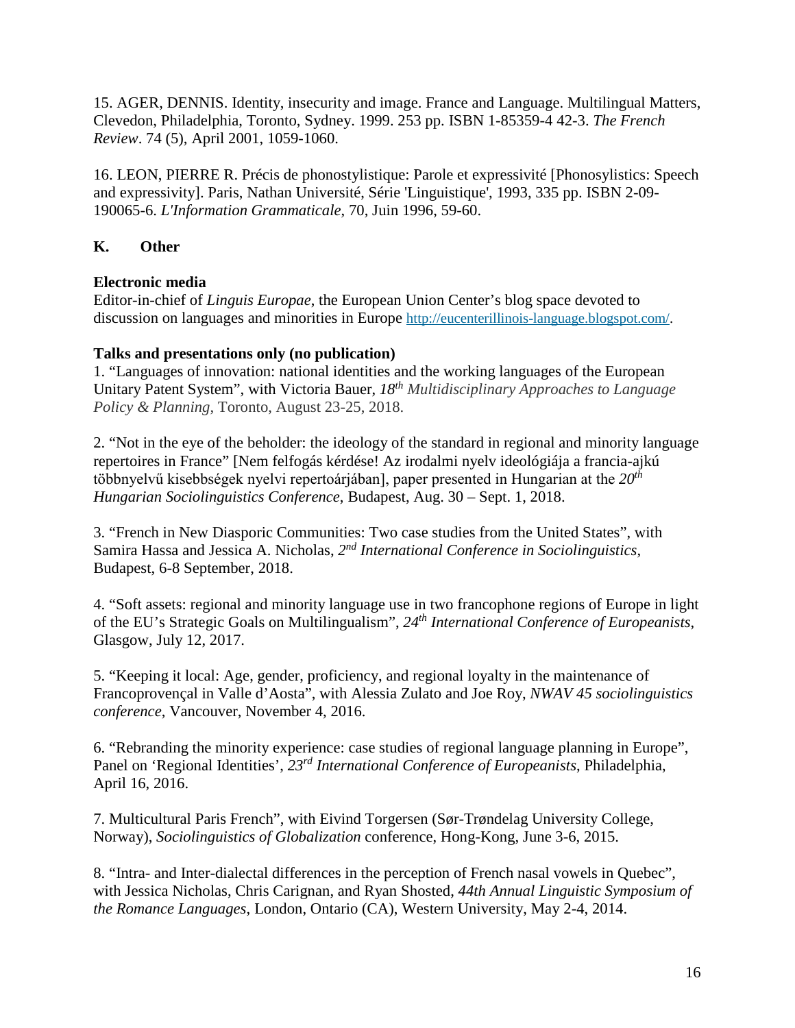15. AGER, DENNIS. Identity, insecurity and image. France and Language. Multilingual Matters, Clevedon, Philadelphia, Toronto, Sydney. 1999. 253 pp. ISBN 1-85359-4 42-3. *The French Review*. 74 (5), April 2001, 1059-1060.

16. LEON, PIERRE R. Précis de phonostylistique: Parole et expressivité [Phonosylistics: Speech and expressivity]. Paris, Nathan Université, Série 'Linguistique', 1993, 335 pp. ISBN 2-09- 190065-6. *L'Information Grammaticale*, 70, Juin 1996, 59-60.

# **K. Other**

## **Electronic media**

Editor-in-chief of *Linguis Europae*, the European Union Center's blog space devoted to discussion on languages and minorities in Europe [http://eucenterillinois-language.blogspot.com/.](http://eucenterillinois-language.blogspot.com/)

## **Talks and presentations only (no publication)**

1. "Languages of innovation: national identities and the working languages of the European Unitary Patent System", with Victoria Bauer, *18th Multidisciplinary Approaches to Language Policy & Planning*, Toronto, August 23-25, 2018.

2. "Not in the eye of the beholder: the ideology of the standard in regional and minority language repertoires in France" [Nem felfogás kérdése! Az irodalmi nyelv ideológiája a francia-ajkú többnyelvű kisebbségek nyelvi repertoárjában], paper presented in Hungarian at the *20th Hungarian Sociolinguistics Conference*, Budapest, Aug. 30 – Sept. 1, 2018.

3. "French in New Diasporic Communities: Two case studies from the United States", with Samira Hassa and Jessica A. Nicholas, *2nd International Conference in Sociolinguistics*, Budapest, 6-8 September, 2018.

4. "Soft assets: regional and minority language use in two francophone regions of Europe in light of the EU's Strategic Goals on Multilingualism", *24th International Conference of Europeanists*, Glasgow, July 12, 2017.

5. "Keeping it local: Age, gender, proficiency, and regional loyalty in the maintenance of Francoprovençal in Valle d'Aosta", with Alessia Zulato and Joe Roy, *NWAV 45 sociolinguistics conference*, Vancouver, November 4, 2016.

6. "Rebranding the minority experience: case studies of regional language planning in Europe", Panel on 'Regional Identities', *23rd International Conference of Europeanists*, Philadelphia, April 16, 2016.

7. Multicultural Paris French", with Eivind Torgersen (Sør-Trøndelag University College, Norway), *Sociolinguistics of Globalization* conference, Hong-Kong, June 3-6, 2015.

8. "Intra- and Inter-dialectal differences in the perception of French nasal vowels in Quebec", with Jessica Nicholas, Chris Carignan, and Ryan Shosted, *44th Annual Linguistic Symposium of the Romance Languages*, London, Ontario (CA), Western University, May 2-4, 2014.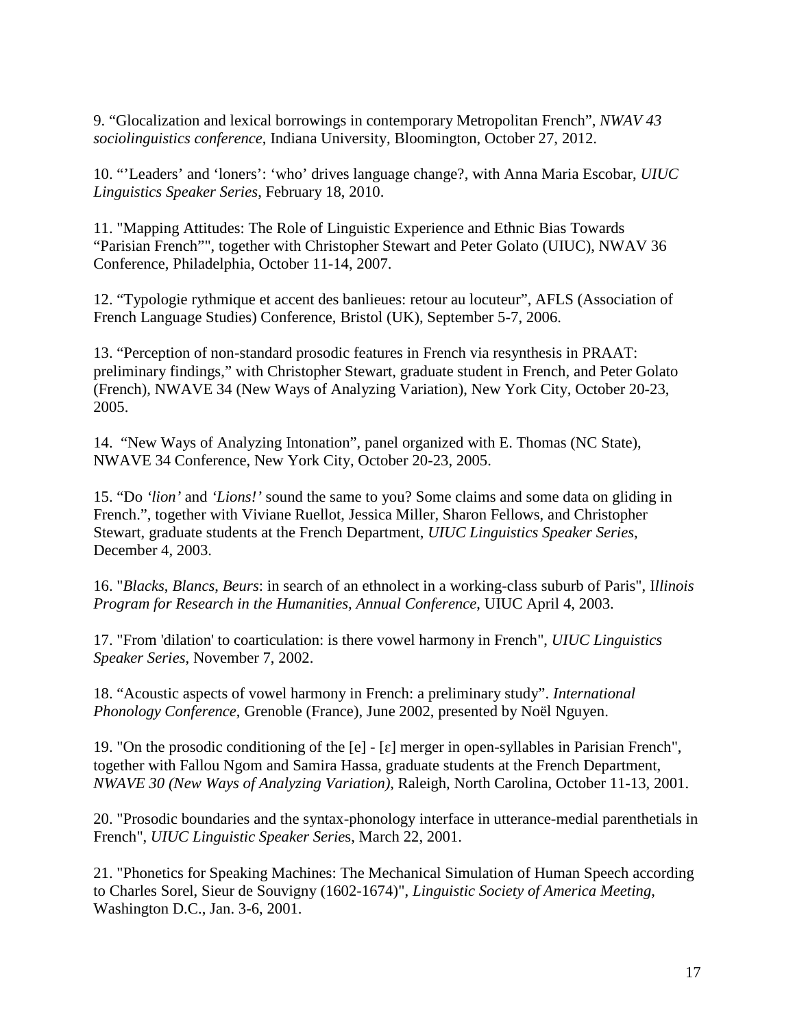9. "Glocalization and lexical borrowings in contemporary Metropolitan French", *NWAV 43 sociolinguistics conference*, Indiana University, Bloomington, October 27, 2012.

10. "'Leaders' and 'loners': 'who' drives language change?, with Anna Maria Escobar, *UIUC Linguistics Speaker Series*, February 18, 2010.

11. "Mapping Attitudes: The Role of Linguistic Experience and Ethnic Bias Towards "Parisian French"", together with Christopher Stewart and Peter Golato (UIUC), NWAV 36 Conference, Philadelphia, October 11-14, 2007.

12. "Typologie rythmique et accent des banlieues: retour au locuteur", AFLS (Association of French Language Studies) Conference, Bristol (UK), September 5-7, 2006.

13. "Perception of non-standard prosodic features in French via resynthesis in PRAAT: preliminary findings," with Christopher Stewart, graduate student in French, and Peter Golato (French), NWAVE 34 (New Ways of Analyzing Variation), New York City, October 20-23, 2005.

14. "New Ways of Analyzing Intonation", panel organized with E. Thomas (NC State), NWAVE 34 Conference, New York City, October 20-23, 2005.

15. "Do *'lion'* and *'Lions!'* sound the same to you? Some claims and some data on gliding in French.", together with Viviane Ruellot, Jessica Miller, Sharon Fellows, and Christopher Stewart, graduate students at the French Department, *UIUC Linguistics Speaker Series*, December 4, 2003.

16. "*Blacks*, *Blancs*, *Beurs*: in search of an ethnolect in a working-class suburb of Paris", I*llinois Program for Research in the Humanities, Annual Conference*, UIUC April 4, 2003.

17. "From 'dilation' to coarticulation: is there vowel harmony in French", *UIUC Linguistics Speaker Series*, November 7, 2002.

18. "Acoustic aspects of vowel harmony in French: a preliminary study". *International Phonology Conference*, Grenoble (France), June 2002, presented by Noël Nguyen.

19. "On the prosodic conditioning of the [e] - [ɛ] merger in open-syllables in Parisian French", together with Fallou Ngom and Samira Hassa, graduate students at the French Department, *NWAVE 30 (New Ways of Analyzing Variation)*, Raleigh, North Carolina, October 11-13, 2001.

20. "Prosodic boundaries and the syntax-phonology interface in utterance-medial parenthetials in French", *UIUC Linguistic Speaker Serie*s, March 22, 2001.

21. "Phonetics for Speaking Machines: The Mechanical Simulation of Human Speech according to Charles Sorel, Sieur de Souvigny (1602-1674)", *Linguistic Society of America Meeting*, Washington D.C., Jan. 3-6, 2001.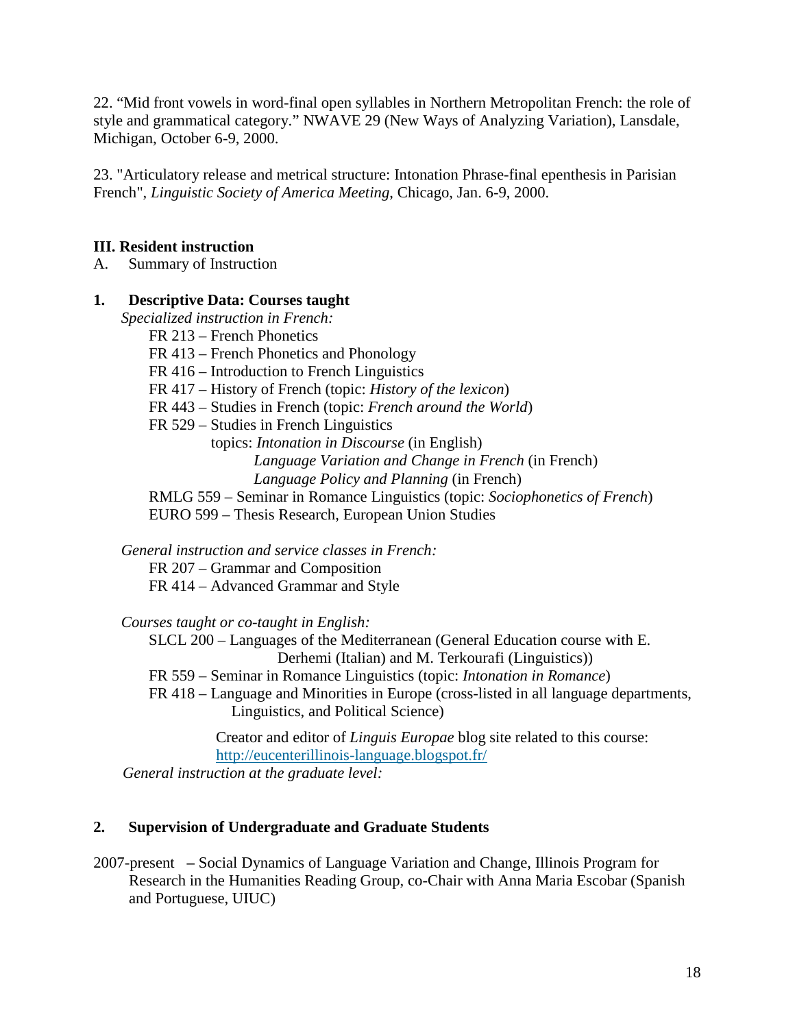22. "Mid front vowels in word-final open syllables in Northern Metropolitan French: the role of style and grammatical category." NWAVE 29 (New Ways of Analyzing Variation), Lansdale, Michigan, October 6-9, 2000.

23. "Articulatory release and metrical structure: Intonation Phrase-final epenthesis in Parisian French", *Linguistic Society of America Meeting*, Chicago, Jan. 6-9, 2000.

### **III. Resident instruction**

A. Summary of Instruction

## **1. Descriptive Data: Courses taught**

*Specialized instruction in French:*

FR 213 – French Phonetics

- FR 413 French Phonetics and Phonology
- FR 416 Introduction to French Linguistics

FR 417 – History of French (topic: *History of the lexicon*)

FR 443 – Studies in French (topic: *French around the World*)

FR 529 – Studies in French Linguistics

 topics: *Intonation in Discourse* (in English) *Language Variation and Change in French* (in French)  *Language Policy and Planning* (in French)

RMLG 559 – Seminar in Romance Linguistics (topic: *Sociophonetics of French*)

EURO 599 – Thesis Research, European Union Studies

*General instruction and service classes in French:*

FR 207 – Grammar and Composition

FR 414 – Advanced Grammar and Style

*Courses taught or co-taught in English:*

SLCL 200 – Languages of the Mediterranean (General Education course with E. Derhemi (Italian) and M. Terkourafi (Linguistics))

FR 559 – Seminar in Romance Linguistics (topic: *Intonation in Romance*)

FR 418 – Language and Minorities in Europe (cross-listed in all language departments, Linguistics, and Political Science)

> Creator and editor of *Linguis Europae* blog site related to this course: <http://eucenterillinois-language.blogspot.fr/>

*General instruction at the graduate level:*

# **2. Supervision of Undergraduate and Graduate Students**

2007-present **–** Social Dynamics of Language Variation and Change, Illinois Program for Research in the Humanities Reading Group, co-Chair with Anna Maria Escobar (Spanish and Portuguese, UIUC)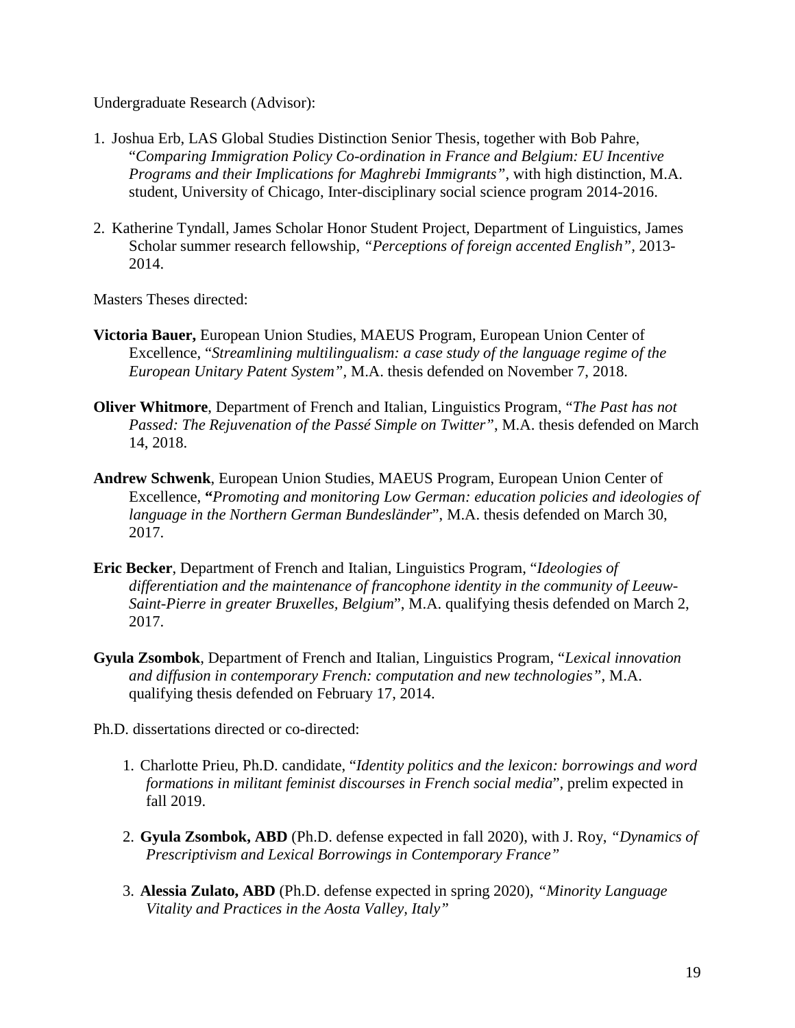Undergraduate Research (Advisor):

- 1. Joshua Erb, LAS Global Studies Distinction Senior Thesis, together with Bob Pahre, "*Comparing Immigration Policy Co-ordination in France and Belgium: EU Incentive Programs and their Implications for Maghrebi Immigrants"*, with high distinction, M.A. student, University of Chicago, Inter-disciplinary social science program 2014-2016.
- 2. Katherine Tyndall, James Scholar Honor Student Project, Department of Linguistics, James Scholar summer research fellowship, *"Perceptions of foreign accented English",* 2013- 2014.

Masters Theses directed:

- **Victoria Bauer,** European Union Studies, MAEUS Program, European Union Center of Excellence, "*Streamlining multilingualism: a case study of the language regime of the European Unitary Patent System",* M.A. thesis defended on November 7, 2018.
- **Oliver Whitmore**, Department of French and Italian, Linguistics Program, "*The Past has not Passed: The Rejuvenation of the Passé Simple on Twitter"*, M.A. thesis defended on March 14, 2018.
- **Andrew Schwenk**, European Union Studies, MAEUS Program, European Union Center of Excellence, **"***Promoting and monitoring Low German: education policies and ideologies of language in the Northern German Bundesländer*", M.A. thesis defended on March 30, 2017.
- **Eric Becker**, Department of French and Italian, Linguistics Program, "*Ideologies of differentiation and the maintenance of francophone identity in the community of Leeuw-Saint-Pierre in greater Bruxelles, Belgium*", M.A. qualifying thesis defended on March 2, 2017.
- **Gyula Zsombok**, Department of French and Italian, Linguistics Program, "*Lexical innovation and diffusion in contemporary French: computation and new technologies"*, M.A. qualifying thesis defended on February 17, 2014.

Ph.D. dissertations directed or co-directed:

- 1. Charlotte Prieu, Ph.D. candidate, "*Identity politics and the lexicon: borrowings and word formations in militant feminist discourses in French social media*", prelim expected in fall 2019.
- 2. **Gyula Zsombok, ABD** (Ph.D. defense expected in fall 2020), with J. Roy, *"Dynamics of Prescriptivism and Lexical Borrowings in Contemporary France"*
- 3. **Alessia Zulato, ABD** (Ph.D. defense expected in spring 2020), *"Minority Language Vitality and Practices in the Aosta Valley, Italy"*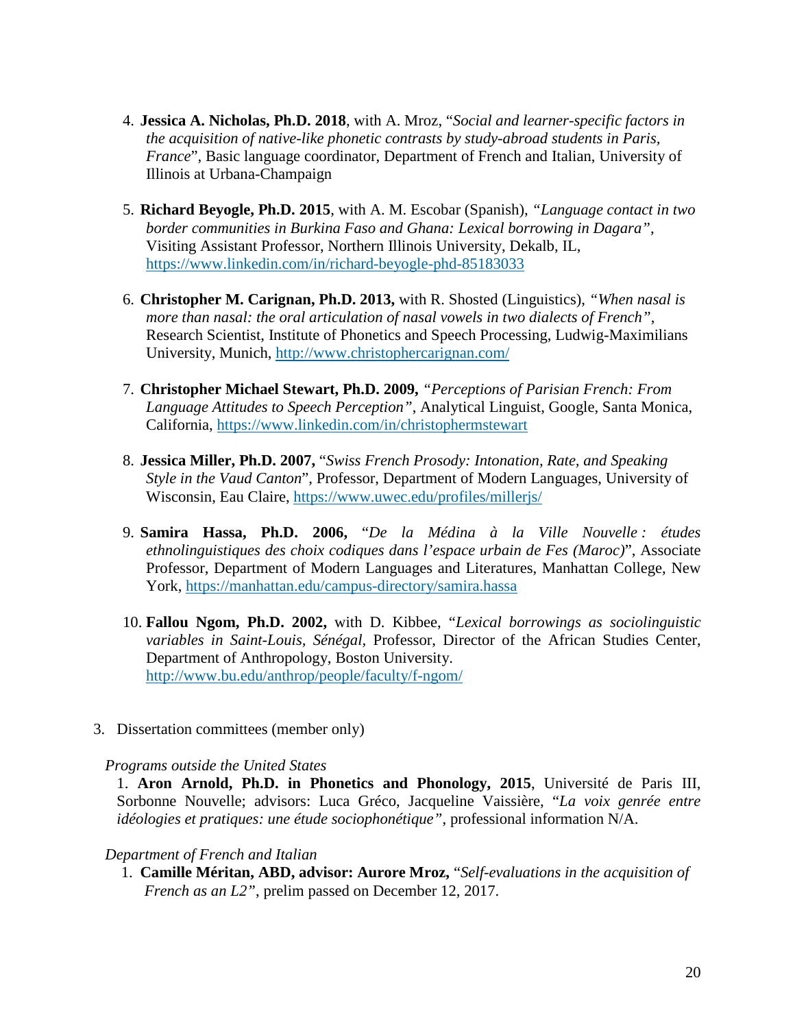- 4. **Jessica A. Nicholas, Ph.D. 2018**, with A. Mroz, "*Social and learner-specific factors in the acquisition of native-like phonetic contrasts by study-abroad students in Paris, France*", Basic language coordinator, Department of French and Italian, University of Illinois at Urbana-Champaign
- 5. **Richard Beyogle, Ph.D. 2015**, with A. M. Escobar (Spanish), *"Language contact in two border communities in Burkina Faso and Ghana: Lexical borrowing in Dagara"*, Visiting Assistant Professor, Northern Illinois University, Dekalb, IL, <https://www.linkedin.com/in/richard-beyogle-phd-85183033>
- 6. **Christopher M. Carignan, Ph.D. 2013,** with R. Shosted (Linguistics), *"When nasal is more than nasal: the oral articulation of nasal vowels in two dialects of French"*, Research Scientist, Institute of Phonetics and Speech Processing, Ludwig-Maximilians University, Munich,<http://www.christophercarignan.com/>
- 7. **Christopher Michael Stewart, Ph.D. 2009,** *"Perceptions of Parisian French: From Language Attitudes to Speech Perception"*, Analytical Linguist, Google, Santa Monica, California,<https://www.linkedin.com/in/christophermstewart>
- 8. **Jessica Miller, Ph.D. 2007,** "*Swiss French Prosody: Intonation, Rate, and Speaking Style in the Vaud Canton*", Professor, Department of Modern Languages, University of Wisconsin, Eau Claire,<https://www.uwec.edu/profiles/millerjs/>
- 9. **Samira Hassa, Ph.D. 2006,** "*De la Médina à la Ville Nouvelle : études ethnolinguistiques des choix codiques dans l'espace urbain de Fes (Maroc)*", Associate Professor, Department of Modern Languages and Literatures, Manhattan College, New York,<https://manhattan.edu/campus-directory/samira.hassa>
- 10. **Fallou Ngom, Ph.D. 2002,** with D. Kibbee, "*Lexical borrowings as sociolinguistic variables in Saint-Louis, Sénégal,* Professor, Director of the African Studies Center, Department of Anthropology, Boston University. <http://www.bu.edu/anthrop/people/faculty/f-ngom/>
- 3. Dissertation committees (member only)

#### *Programs outside the United States*

1. **Aron Arnold, Ph.D. in Phonetics and Phonology, 2015**, Université de Paris III, Sorbonne Nouvelle; advisors: Luca Gréco, Jacqueline Vaissière, "*La voix genrée entre idéologies et pratiques: une étude sociophonétique"*, professional information N/A.

#### *Department of French and Italian*

1. **Camille Méritan, ABD, advisor: Aurore Mroz,** "*Self-evaluations in the acquisition of French as an L2"*, prelim passed on December 12, 2017.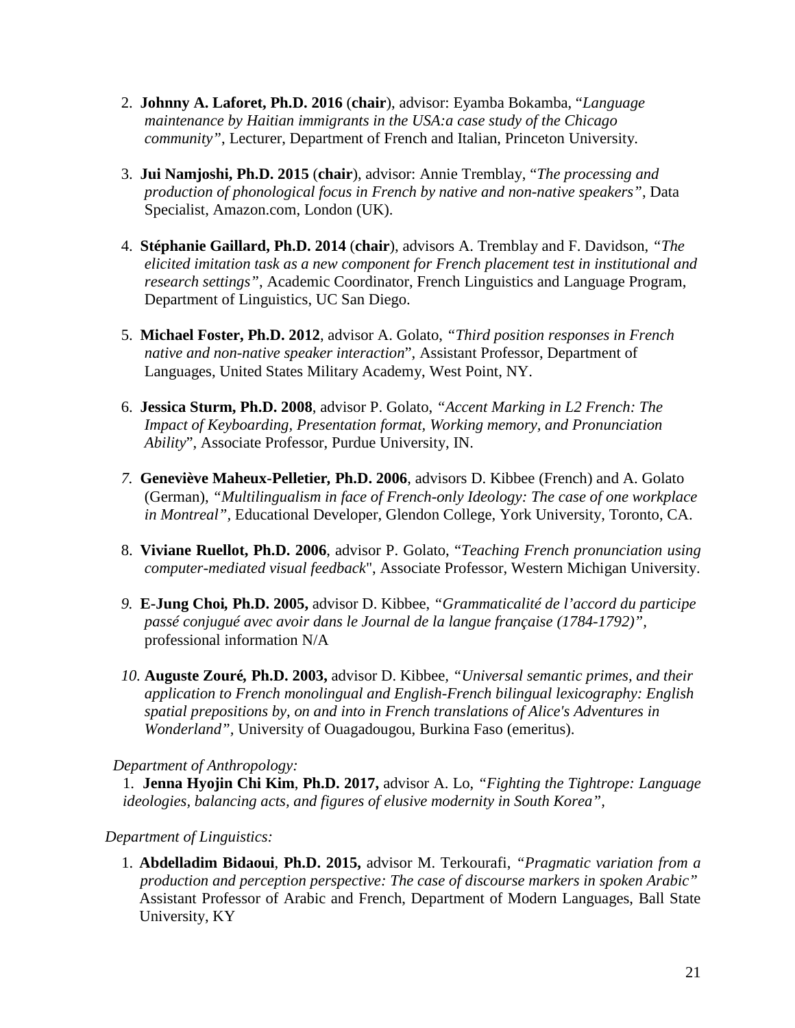- 2. **Johnny A. Laforet, Ph.D. 2016** (**chair**), advisor: Eyamba Bokamba, "*Language maintenance by Haitian immigrants in the USA:a case study of the Chicago community"*, Lecturer, Department of French and Italian, Princeton University.
- 3. **Jui Namjoshi, Ph.D. 2015** (**chair**), advisor: Annie Tremblay, "*The processing and production of phonological focus in French by native and non-native speakers"*, Data Specialist, Amazon.com, London (UK).
- 4. **Stéphanie Gaillard, Ph.D. 2014** (**chair**), advisors A. Tremblay and F. Davidson, *"The elicited imitation task as a new component for French placement test in institutional and research settings"*, Academic Coordinator, French Linguistics and Language Program, Department of Linguistics, UC San Diego.
- 5. **Michael Foster, Ph.D. 2012**, advisor A. Golato, *"Third position responses in French native and non-native speaker interaction*", Assistant Professor, Department of Languages, United States Military Academy, West Point, NY.
- 6. **Jessica Sturm, Ph.D. 2008**, advisor P. Golato, *"Accent Marking in L2 French: The Impact of Keyboarding, Presentation format, Working memory, and Pronunciation Ability*", Associate Professor, Purdue University, IN.
- *7.* **Geneviève Maheux-Pelletier***,* **Ph.D. 2006**, advisors D. Kibbee (French) and A. Golato (German), *"Multilingualism in face of French-only Ideology: The case of one workplace in Montreal",* Educational Developer, Glendon College, York University, Toronto, CA.
- 8. **Viviane Ruellot, Ph.D. 2006**, advisor P. Golato, "*Teaching French pronunciation using computer-mediated visual feedback*", Associate Professor, Western Michigan University.
- *9.* **E-Jung Choi***,* **Ph.D. 2005,** advisor D. Kibbee, *"Grammaticalité de l'accord du participe passé conjugué avec avoir dans le Journal de la langue française (1784-1792)",*  professional information N/A
- *10.* **Auguste Zouré***,* **Ph.D. 2003,** advisor D. Kibbee*, "Universal semantic primes, and their application to French monolingual and English-French bilingual lexicography: English spatial prepositions by, on and into in French translations of Alice's Adventures in Wonderland",* University of Ouagadougou, Burkina Faso (emeritus).

 *Department of Anthropology:*

1. **Jenna Hyojin Chi Kim**, **Ph.D. 2017,** advisor A. Lo, *"Fighting the Tightrope: Language ideologies, balancing acts, and figures of elusive modernity in South Korea",*

 *Department of Linguistics:*

1. **Abdelladim Bidaoui**, **Ph.D. 2015,** advisor M. Terkourafi, *"Pragmatic variation from a production and perception perspective: The case of discourse markers in spoken Arabic"* Assistant Professor of Arabic and French, Department of Modern Languages, Ball State University, KY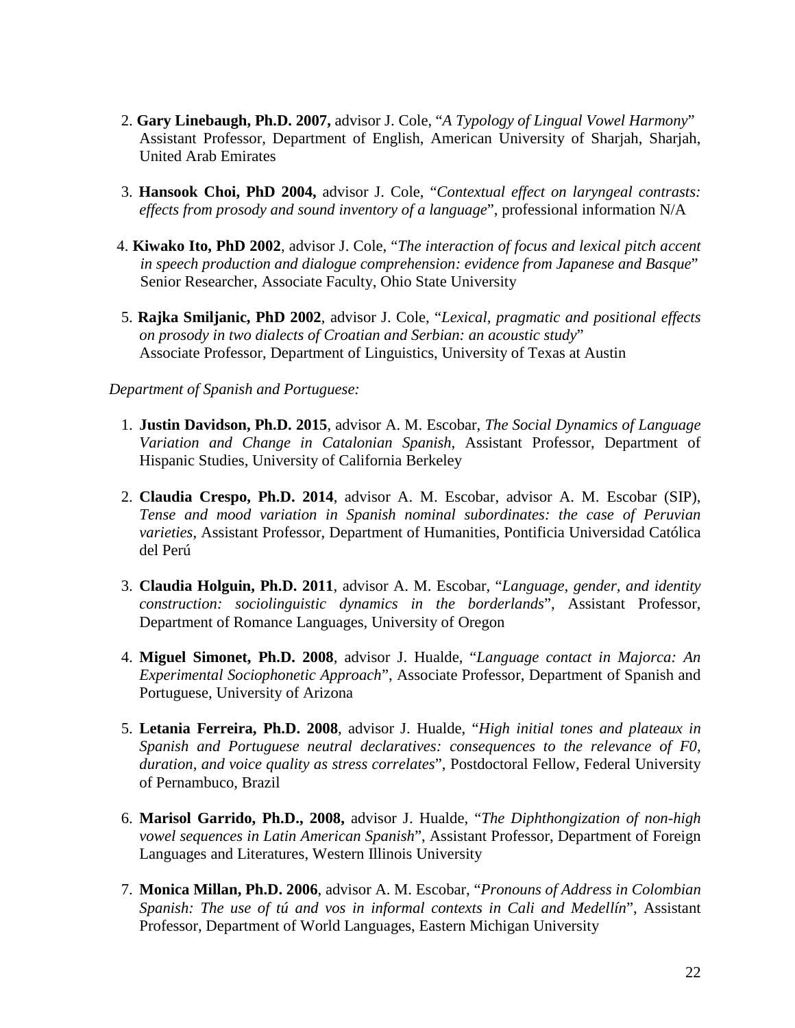- 2. **Gary Linebaugh, Ph.D. 2007,** advisor J. Cole, "*A Typology of Lingual Vowel Harmony*" Assistant Professor, Department of English, American University of Sharjah, Sharjah, United Arab Emirates
- 3. **Hansook Choi, PhD 2004,** advisor J. Cole, "*Contextual effect on laryngeal contrasts: effects from prosody and sound inventory of a language*", professional information N/A
- 4. **Kiwako Ito, PhD 2002**, advisor J. Cole, "*The interaction of focus and lexical pitch accent in speech production and dialogue comprehension: evidence from Japanese and Basque*" Senior Researcher, Associate Faculty, Ohio State University
- 5. **Rajka Smiljanic, PhD 2002**, advisor J. Cole, "*Lexical, pragmatic and positional effects on prosody in two dialects of Croatian and Serbian: an acoustic study*" Associate Professor, Department of Linguistics, University of Texas at Austin

#### *Department of Spanish and Portuguese:*

- 1. **Justin Davidson, Ph.D. 2015**, advisor A. M. Escobar, *The Social Dynamics of Language Variation and Change in Catalonian Spanish*, Assistant Professor, Department of Hispanic Studies, University of California Berkeley
- 2. **Claudia Crespo, Ph.D. 2014**, advisor A. M. Escobar, advisor A. M. Escobar (SIP), *Tense and mood variation in Spanish nominal subordinates: the case of Peruvian varieties*, Assistant Professor, Department of Humanities, Pontificia Universidad Católica del Perú
- 3. **Claudia Holguin, Ph.D. 2011**, advisor A. M. Escobar, "*Language, gender, and identity construction: sociolinguistic dynamics in the borderlands*", Assistant Professor, Department of Romance Languages, University of Oregon
- 4. **Miguel Simonet, Ph.D. 2008**, advisor J. Hualde, "*Language contact in Majorca: An Experimental Sociophonetic Approach*", Associate Professor, Department of Spanish and Portuguese, University of Arizona
- 5. **Letania Ferreira, Ph.D. 2008**, advisor J. Hualde, "*High initial tones and plateaux in Spanish and Portuguese neutral declaratives: consequences to the relevance of F0, duration, and voice quality as stress correlates*", Postdoctoral Fellow, Federal University of Pernambuco, Brazil
- 6. **Marisol Garrido, Ph.D., 2008,** advisor J. Hualde, "*The Diphthongization of non-high vowel sequences in Latin American Spanish*", Assistant Professor, Department of Foreign Languages and Literatures, Western Illinois University
- 7. **Monica Millan, Ph.D. 2006**, advisor A. M. Escobar, "*Pronouns of Address in Colombian Spanish: The use of tú and vos in informal contexts in Cali and Medellín*", Assistant Professor, Department of World Languages, Eastern Michigan University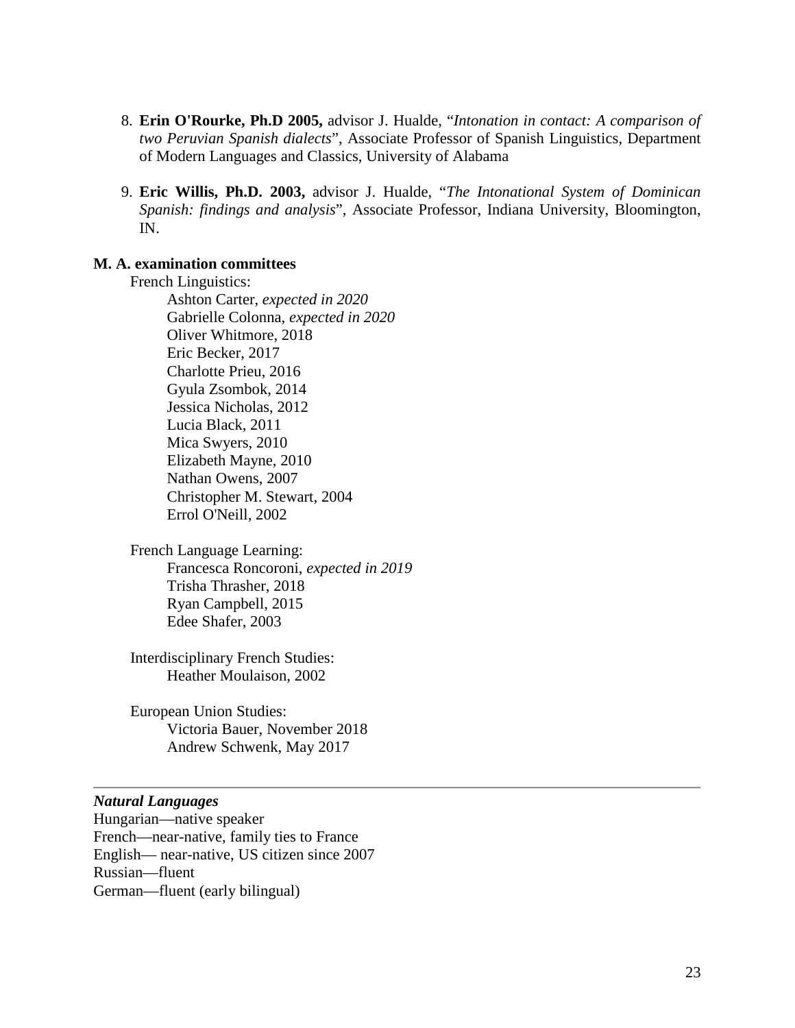- 8. **Erin O'Rourke, Ph.D 2005,** advisor J. Hualde, "*Intonation in contact: A comparison of two Peruvian Spanish dialects*", Associate Professor of Spanish Linguistics, Department of Modern Languages and Classics, University of Alabama
- 9. **Eric Willis, Ph.D. 2003,** advisor J. Hualde, "*The Intonational System of Dominican Spanish: findings and analysis*", Associate Professor, Indiana University, Bloomington, IN.

#### **M. A. examination committees**

French Linguistics: Ashton Carter, *expected in 2020* Gabrielle Colonna, *expected in 2020* Oliver Whitmore, 2018 Eric Becker, 2017 Charlotte Prieu, 2016 Gyula Zsombok, 2014 Jessica Nicholas, 2012 Lucia Black, 2011 Mica Swyers, 2010 Elizabeth Mayne, 2010 Nathan Owens, 2007 Christopher M. Stewart, 2004 Errol O'Neill, 2002

French Language Learning: Francesca Roncoroni, *expected in 2019* Trisha Thrasher, 2018 Ryan Campbell, 2015 Edee Shafer, 2003

Interdisciplinary French Studies: Heather Moulaison, 2002

European Union Studies: Victoria Bauer, November 2018 Andrew Schwenk, May 2017

#### *Natural Languages*

Hungarian—native speaker French—near-native, family ties to France English— near-native, US citizen since 2007 Russian—fluent German—fluent (early bilingual)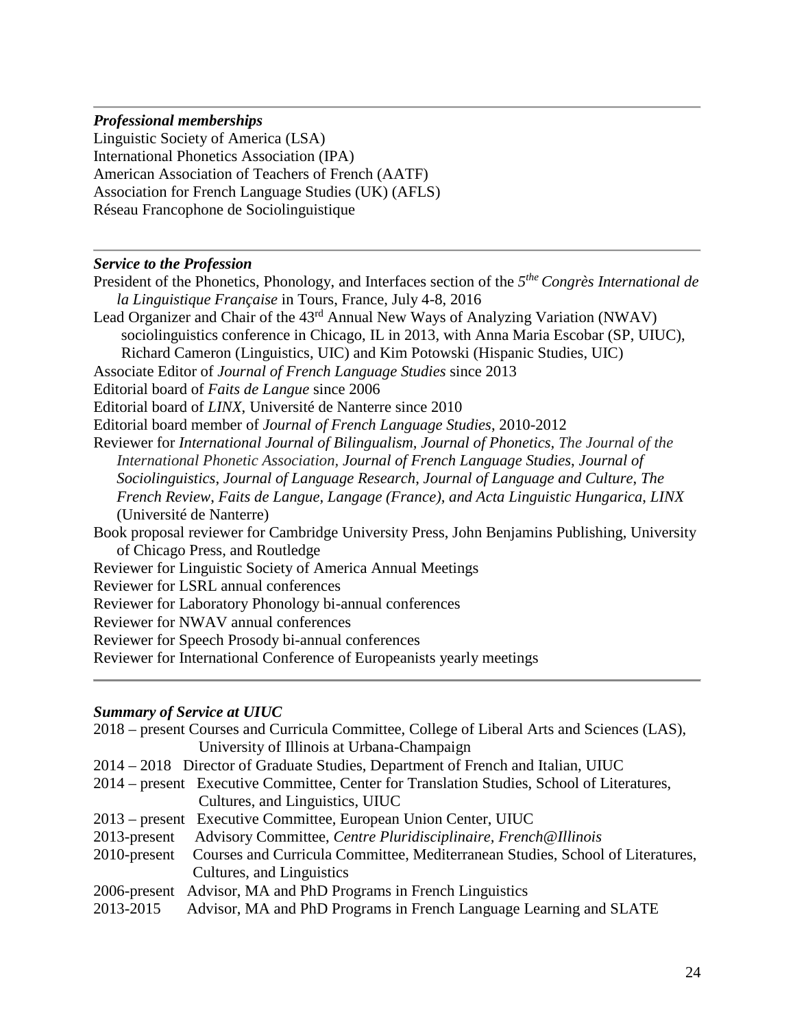#### *Professional memberships*

Linguistic Society of America (LSA) International Phonetics Association (IPA) American Association of Teachers of French (AATF) Association for French Language Studies (UK) (AFLS) Réseau Francophone de Sociolinguistique

#### *Service to the Profession*

President of the Phonetics, Phonology, and Interfaces section of the *5the Congrès International de la Linguistique Française* in Tours, France, July 4-8, 2016 Lead Organizer and Chair of the 43rd Annual New Ways of Analyzing Variation (NWAV) sociolinguistics conference in Chicago, IL in 2013, with Anna Maria Escobar (SP, UIUC), Richard Cameron (Linguistics, UIC) and Kim Potowski (Hispanic Studies, UIC) Associate Editor of *Journal of French Language Studies* since 2013 Editorial board of *Faits de Langue* since 2006 Editorial board of *LINX*, Université de Nanterre since 2010 Editorial board member of *Journal of French Language Studies*, 2010-2012 Reviewer for *International Journal of Bilingualism, Journal of Phonetics, The Journal of the International Phonetic Association, Journal of French Language Studies*, *Journal of Sociolinguistics*, *Journal of Language Research*, *Journal of Language and Culture*, *The French Review*, *Faits de Langue, Langage (France), and Acta Linguistic Hungarica*, *LINX* (Université de Nanterre) Book proposal reviewer for Cambridge University Press, John Benjamins Publishing, University of Chicago Press, and Routledge Reviewer for Linguistic Society of America Annual Meetings Reviewer for LSRL annual conferences Reviewer for Laboratory Phonology bi-annual conferences Reviewer for NWAV annual conferences Reviewer for Speech Prosody bi-annual conferences Reviewer for International Conference of Europeanists yearly meetings

### *Summary of Service at UIUC*

|                 | 2018 – present Courses and Curricula Committee, College of Liberal Arts and Sciences (LAS), |
|-----------------|---------------------------------------------------------------------------------------------|
|                 | University of Illinois at Urbana-Champaign                                                  |
|                 | 2014 – 2018 Director of Graduate Studies, Department of French and Italian, UIUC            |
|                 | 2014 – present Executive Committee, Center for Translation Studies, School of Literatures,  |
|                 | Cultures, and Linguistics, UIUC                                                             |
|                 | 2013 – present Executive Committee, European Union Center, UIUC                             |
| $2013$ -present | Advisory Committee, Centre Pluridisciplinaire, French@Illinois                              |
|                 | 2010-present Courses and Curricula Committee, Mediterranean Studies, School of Literatures, |
|                 | Cultures, and Linguistics                                                                   |
|                 | 2006-present Advisor, MA and PhD Programs in French Linguistics                             |
| 2013-2015       | Advisor, MA and PhD Programs in French Language Learning and SLATE                          |